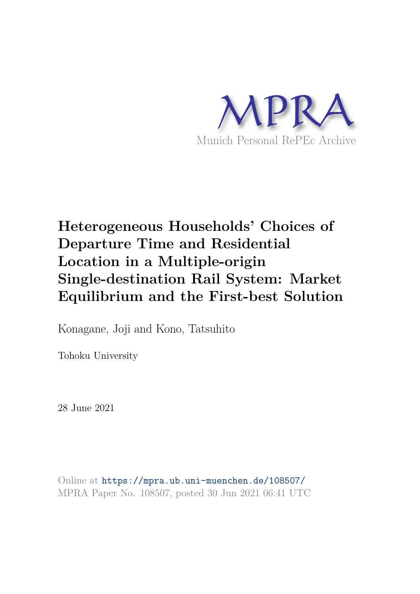

## **Heterogeneous Households' Choices of Departure Time and Residential Location in a Multiple-origin Single-destination Rail System: Market Equilibrium and the First-best Solution**

Konagane, Joji and Kono, Tatsuhito

Tohoku University

28 June 2021

Online at https://mpra.ub.uni-muenchen.de/108507/ MPRA Paper No. 108507, posted 30 Jun 2021 06:41 UTC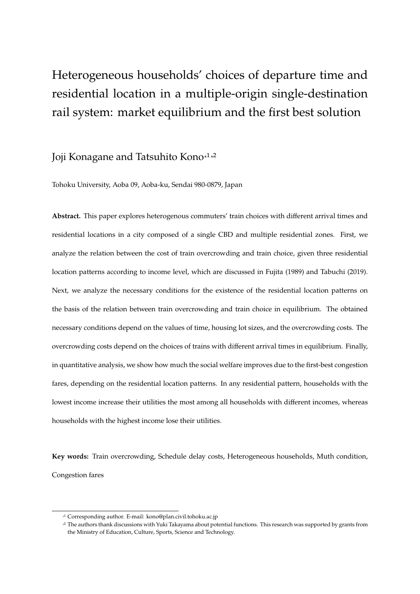# Heterogeneous households' choices of departure time and residential location in a multiple-origin single-destination rail system: market equilibrium and the first best solution

## Joji Konagane and Tatsuhito Kono<sup>\*1\*2</sup>

Tohoku University, Aoba 09, Aoba-ku, Sendai 980-0879, Japan

**Abstract.** This paper explores heterogenous commuters' train choices with different arrival times and residential locations in a city composed of a single CBD and multiple residential zones. First, we analyze the relation between the cost of train overcrowding and train choice, given three residential location patterns according to income level, which are discussed in Fujita (1989) and Tabuchi (2019). Next, we analyze the necessary conditions for the existence of the residential location patterns on the basis of the relation between train overcrowding and train choice in equilibrium. The obtained necessary conditions depend on the values of time, housing lot sizes, and the overcrowding costs. The overcrowding costs depend on the choices of trains with different arrival times in equilibrium. Finally, in quantitative analysis, we show how much the social welfare improves due to the first-best congestion fares, depending on the residential location patterns. In any residential pattern, households with the lowest income increase their utilities the most among all households with different incomes, whereas households with the highest income lose their utilities.

**Key words:** Train overcrowding, Schedule delay costs, Heterogeneous households, Muth condition, Congestion fares

<sup>\*</sup> 1 Corresponding author. E-mail: kono@plan.civil.tohoku.ac.jp

<sup>&</sup>lt;sup>2</sup> The authors thank discussions with Yuki Takayama about potential functions. This research was supported by grants from the Ministry of Education, Culture, Sports, Science and Technology.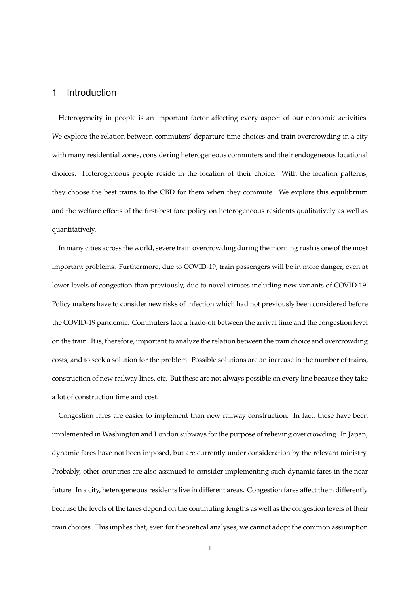## 1 Introduction

Heterogeneity in people is an important factor affecting every aspect of our economic activities. We explore the relation between commuters' departure time choices and train overcrowding in a city with many residential zones, considering heterogeneous commuters and their endogeneous locational choices. Heterogeneous people reside in the location of their choice. With the location patterns, they choose the best trains to the CBD for them when they commute. We explore this equilibrium and the welfare effects of the first-best fare policy on heterogeneous residents qualitatively as well as quantitatively.

In many cities across the world, severe train overcrowding during the morning rush is one of the most important problems. Furthermore, due to COVID-19, train passengers will be in more danger, even at lower levels of congestion than previously, due to novel viruses including new variants of COVID-19. Policy makers have to consider new risks of infection which had not previously been considered before the COVID-19 pandemic. Commuters face a trade-off between the arrival time and the congestion level on the train. It is, therefore, important to analyze the relation between the train choice and overcrowding costs, and to seek a solution for the problem. Possible solutions are an increase in the number of trains, construction of new railway lines, etc. But these are not always possible on every line because they take a lot of construction time and cost.

Congestion fares are easier to implement than new railway construction. In fact, these have been implemented in Washington and London subways for the purpose of relieving overcrowding. In Japan, dynamic fares have not been imposed, but are currently under consideration by the relevant ministry. Probably, other countries are also assmued to consider implementing such dynamic fares in the near future. In a city, heterogeneous residents live in different areas. Congestion fares affect them differently because the levels of the fares depend on the commuting lengths as well as the congestion levels of their train choices. This implies that, even for theoretical analyses, we cannot adopt the common assumption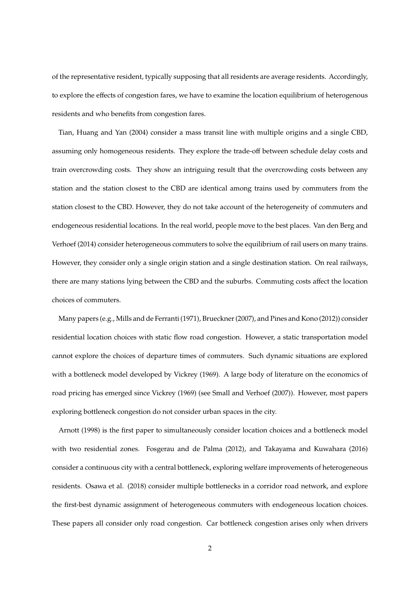of the representative resident, typically supposing that all residents are average residents. Accordingly, to explore the effects of congestion fares, we have to examine the location equilibrium of heterogenous residents and who benefits from congestion fares.

Tian, Huang and Yan (2004) consider a mass transit line with multiple origins and a single CBD, assuming only homogeneous residents. They explore the trade-off between schedule delay costs and train overcrowding costs. They show an intriguing result that the overcrowding costs between any station and the station closest to the CBD are identical among trains used by commuters from the station closest to the CBD. However, they do not take account of the heterogeneity of commuters and endogeneous residential locations. In the real world, people move to the best places. Van den Berg and Verhoef (2014) consider heterogeneous commuters to solve the equilibrium of rail users on many trains. However, they consider only a single origin station and a single destination station. On real railways, there are many stations lying between the CBD and the suburbs. Commuting costs affect the location choices of commuters.

Many papers (e.g., Mills and de Ferranti (1971), Brueckner (2007), and Pines and Kono (2012)) consider residential location choices with static flow road congestion. However, a static transportation model cannot explore the choices of departure times of commuters. Such dynamic situations are explored with a bottleneck model developed by Vickrey (1969). A large body of literature on the economics of road pricing has emerged since Vickrey (1969) (see Small and Verhoef (2007)). However, most papers exploring bottleneck congestion do not consider urban spaces in the city.

Arnott (1998) is the first paper to simultaneously consider location choices and a bottleneck model with two residential zones. Fosgerau and de Palma (2012), and Takayama and Kuwahara (2016) consider a continuous city with a central bottleneck, exploring welfare improvements of heterogeneous residents. Osawa et al. (2018) consider multiple bottlenecks in a corridor road network, and explore the first-best dynamic assignment of heterogeneous commuters with endogeneous location choices. These papers all consider only road congestion. Car bottleneck congestion arises only when drivers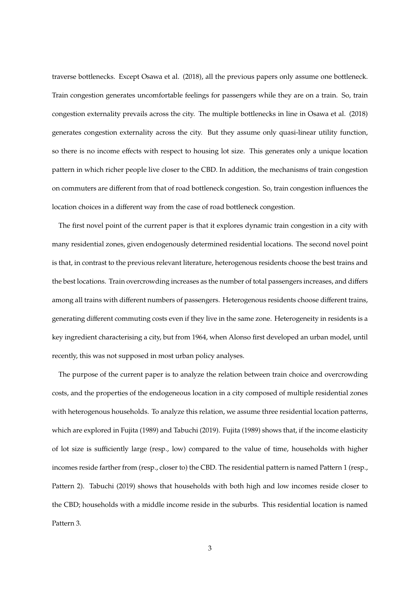traverse bottlenecks. Except Osawa et al. (2018), all the previous papers only assume one bottleneck. Train congestion generates uncomfortable feelings for passengers while they are on a train. So, train congestion externality prevails across the city. The multiple bottlenecks in line in Osawa et al. (2018) generates congestion externality across the city. But they assume only quasi-linear utility function, so there is no income effects with respect to housing lot size. This generates only a unique location pattern in which richer people live closer to the CBD. In addition, the mechanisms of train congestion on commuters are different from that of road bottleneck congestion. So, train congestion influences the location choices in a different way from the case of road bottleneck congestion.

The first novel point of the current paper is that it explores dynamic train congestion in a city with many residential zones, given endogenously determined residential locations. The second novel point is that, in contrast to the previous relevant literature, heterogenous residents choose the best trains and the best locations. Train overcrowding increases as the number of total passengers increases, and differs among all trains with different numbers of passengers. Heterogenous residents choose different trains, generating different commuting costs even if they live in the same zone. Heterogeneity in residents is a key ingredient characterising a city, but from 1964, when Alonso first developed an urban model, until recently, this was not supposed in most urban policy analyses.

The purpose of the current paper is to analyze the relation between train choice and overcrowding costs, and the properties of the endogeneous location in a city composed of multiple residential zones with heterogenous households. To analyze this relation, we assume three residential location patterns, which are explored in Fujita (1989) and Tabuchi (2019). Fujita (1989) shows that, if the income elasticity of lot size is sufficiently large (resp., low) compared to the value of time, households with higher incomes reside farther from (resp., closer to) the CBD. The residential pattern is named Pattern 1 (resp., Pattern 2). Tabuchi (2019) shows that households with both high and low incomes reside closer to the CBD; households with a middle income reside in the suburbs. This residential location is named Pattern 3.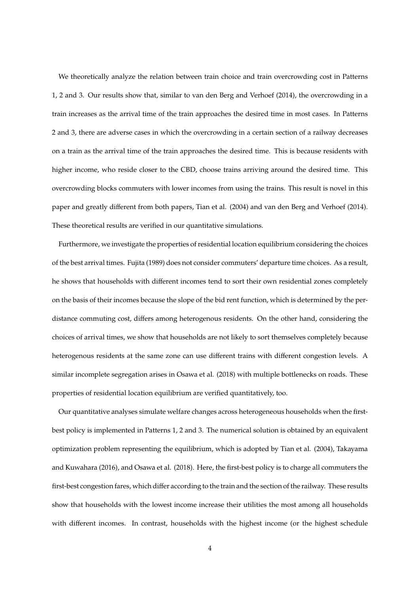We theoretically analyze the relation between train choice and train overcrowding cost in Patterns 1, 2 and 3. Our results show that, similar to van den Berg and Verhoef (2014), the overcrowding in a train increases as the arrival time of the train approaches the desired time in most cases. In Patterns 2 and 3, there are adverse cases in which the overcrowding in a certain section of a railway decreases on a train as the arrival time of the train approaches the desired time. This is because residents with higher income, who reside closer to the CBD, choose trains arriving around the desired time. This overcrowding blocks commuters with lower incomes from using the trains. This result is novel in this paper and greatly different from both papers, Tian et al. (2004) and van den Berg and Verhoef (2014). These theoretical results are verified in our quantitative simulations.

Furthermore, we investigate the properties of residential location equilibrium considering the choices of the best arrival times. Fujita (1989) does not consider commuters' departure time choices. As a result, he shows that households with different incomes tend to sort their own residential zones completely on the basis of their incomes because the slope of the bid rent function, which is determined by the perdistance commuting cost, differs among heterogenous residents. On the other hand, considering the choices of arrival times, we show that households are not likely to sort themselves completely because heterogenous residents at the same zone can use different trains with different congestion levels. A similar incomplete segregation arises in Osawa et al. (2018) with multiple bottlenecks on roads. These properties of residential location equilibrium are verified quantitatively, too.

Our quantitative analyses simulate welfare changes across heterogeneous households when the firstbest policy is implemented in Patterns 1, 2 and 3. The numerical solution is obtained by an equivalent optimization problem representing the equilibrium, which is adopted by Tian et al. (2004), Takayama and Kuwahara (2016), and Osawa et al. (2018). Here, the first-best policy is to charge all commuters the first-best congestion fares, which differ according to the train and the section of the railway. These results show that households with the lowest income increase their utilities the most among all households with different incomes. In contrast, households with the highest income (or the highest schedule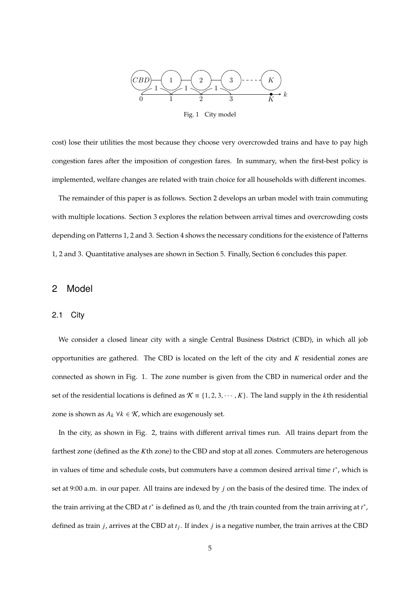

Fig. 1 City model

cost) lose their utilities the most because they choose very overcrowded trains and have to pay high congestion fares after the imposition of congestion fares. In summary, when the first-best policy is implemented, welfare changes are related with train choice for all households with different incomes.

The remainder of this paper is as follows. Section 2 develops an urban model with train commuting with multiple locations. Section 3 explores the relation between arrival times and overcrowding costs depending on Patterns 1, 2 and 3. Section 4 shows the necessary conditions for the existence of Patterns 1, 2 and 3. Quantitative analyses are shown in Section 5. Finally, Section 6 concludes this paper.

### 2 Model

### 2.1 City

We consider a closed linear city with a single Central Business District (CBD), in which all job opportunities are gathered. The CBD is located on the left of the city and  $K$  residential zones are connected as shown in Fig. 1. The zone number is given from the CBD in numerical order and the set of the residential locations is defined as  $K = \{1, 2, 3, \dots, K\}$ . The land supply in the kth residential zone is shown as  $A_k$   $\forall k \in \mathcal{K}$ , which are exogenously set.

In the city, as shown in Fig. 2, trains with different arrival times run. All trains depart from the farthest zone (defined as the Kth zone) to the CBD and stop at all zones. Commuters are heterogenous in values of time and schedule costs, but commuters have a common desired arrival time  $t^*$ , which is set at 9:00 a.m. in our paper. All trains are indexed by  $j$  on the basis of the desired time. The index of the train arriving at the CBD at  $t^*$  is defined as 0, and the *j*th train counted from the train arriving at  $t^*$ , defined as train *j*, arrives at the CBD at  $t_j$ . If index *j* is a negative number, the train arrives at the CBD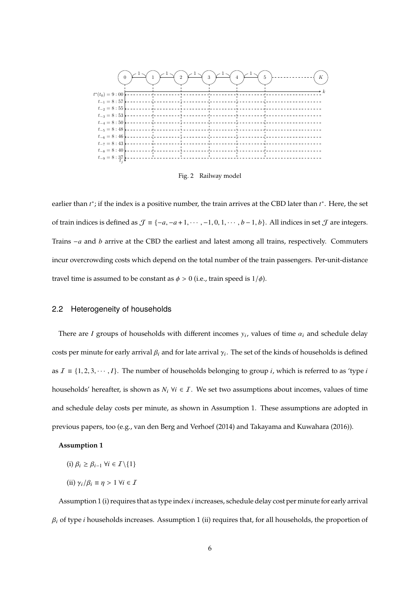

Fig. 2 Railway model

earlier than  $t^*$ ; if the index is a positive number, the train arrives at the CBD later than  $t^*$ . Here, the set of train indices is defined as  $\mathcal{J} \equiv \{-a, -a+1, \dots, -1, 0, 1, \dots, b-1, b\}$ . All indices in set  $\mathcal{J}$  are integers. Trains  $-a$  and  $b$  arrive at the CBD the earliest and latest among all trains, respectively. Commuters incur overcrowding costs which depend on the total number of the train passengers. Per-unit-distance travel time is assumed to be constant as  $\phi > 0$  (i.e., train speed is  $1/\phi$ ).

### 2.2 Heterogeneity of households

There are I groups of households with different incomes  $y_i$ , values of time  $\alpha_i$  and schedule delay costs per minute for early arrival  $\beta_i$  and for late arrival  $\gamma_i.$  The set of the kinds of households is defined as  $I = \{1, 2, 3, \dots, I\}$ . The number of households belonging to group *i*, which is referred to as 'type *i* households' hereafter, is shown as  $N_i$   $\forall i \in I$ . We set two assumptions about incomes, values of time and schedule delay costs per minute, as shown in Assumption 1. These assumptions are adopted in previous papers, too (e.g., van den Berg and Verhoef (2014) and Takayama and Kuwahara (2016)).

### **Assumption 1**

- $(i)$   $\beta_i \geq \beta_{i-1}$   $\forall i \in \mathcal{I}\backslash\{1\}$
- (ii)  $\gamma_i/\beta_i \equiv \eta > 1 \ \forall i \in \mathcal{I}$

Assumption 1 (i) requires that as type index *i* increases, schedule delay cost per minute for early arrival  $\beta_i$  of type *i* households increases. Assumption 1 (ii) requires that, for all households, the proportion of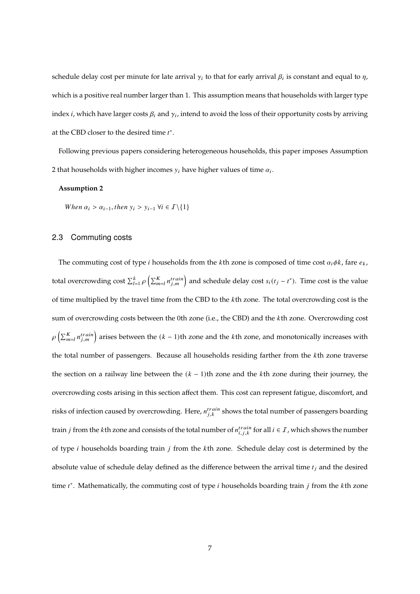schedule delay cost per minute for late arrival  $\gamma_i$  to that for early arrival  $\beta_i$  is constant and equal to  $\eta$ , which is a positive real number larger than 1. This assumption means that households with larger type index  $i$ , which have larger costs  $\beta_i$  and  $\gamma_i$ , intend to avoid the loss of their opportunity costs by arriving at the CBD closer to the desired time  $t^*$ .

Following previous papers considering heterogeneous households, this paper imposes Assumption 2 that households with higher incomes  $y_i$  have higher values of time  $\alpha_i.$ 

### **Assumption 2**

When  $\alpha_i > \alpha_{i-1}$ , then  $y_i > y_{i-1}$   $\forall i \in I \setminus \{1\}$ 

### 2.3 Commuting costs

The commuting cost of type *i* households from the *k*th zone is composed of time cost  $\alpha_i \phi k$ , fare  $e_k$ , total overcrowding cost  $\sum_{l=1}^k \rho\left(\sum_{m=l}^K n_{j,m}^{train}\right)$  and schedule delay cost  $s_i(t_j-t^*)$ . Time cost is the value of time multiplied by the travel time from the CBD to the kth zone. The total overcrowding cost is the sum of overcrowding costs between the 0th zone (i.e., the CBD) and the kth zone. Overcrowding cost  $\rho\left(\sum_{m=l}^K n_{j,m}^{train}\right)$  arises between the  $(k-1)$ th zone and the *k*th zone, and monotonically increases with the total number of passengers. Because all households residing farther from the kth zone traverse the section on a railway line between the  $(k - 1)$ th zone and the kth zone during their journey, the overcrowding costs arising in this section affect them. This cost can represent fatigue, discomfort, and risks of infection caused by overcrowding. Here,  $n^{train}_{j,k}$  shows the total number of passengers boarding train *j* from the *k*th zone and consists of the total number of  $n_{i,j,k}^{train}$  for all  $i \in I$  , which shows the number of type  $i$  households boarding train  $j$  from the  $k$ th zone. Schedule delay cost is determined by the absolute value of schedule delay defined as the difference between the arrival time  $t_i$  and the desired time  $t^*$ . Mathematically, the commuting cost of type  $i$  households boarding train  $j$  from the  $k$ th zone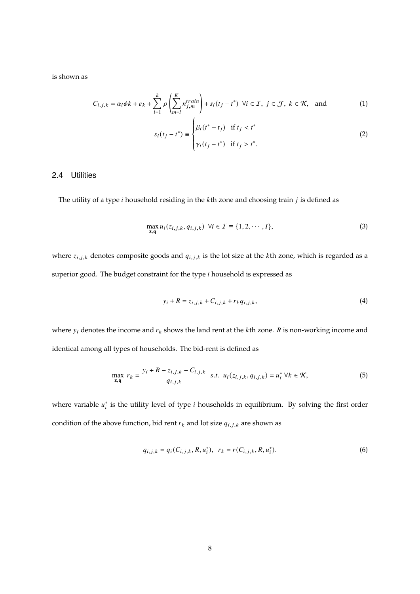is shown as

$$
C_{i,j,k} = \alpha_i \phi k + e_k + \sum_{l=1}^k \rho \left( \sum_{m=l}^K n_{j,m}^{train} \right) + s_i (t_j - t^*) \ \forall i \in \mathcal{I}, j \in \mathcal{J}, k \in \mathcal{K}, \text{ and } (1)
$$

$$
s_i(t_j - t^*) \equiv \begin{cases} \beta_i(t^* - t_j) & \text{if } t_j < t^* \\ \gamma_i(t_j - t^*) & \text{if } t_j > t^*. \end{cases}
$$
 (2)

### 2.4 Utilities

The utility of a type  $i$  household residing in the  $k$ th zone and choosing train  $j$  is defined as

$$
\max_{\mathbf{z},\mathbf{q}} u_i(z_{i,j,k}, q_{i,j,k}) \ \forall i \in \mathcal{I} \equiv \{1, 2, \cdots, I\},\tag{3}
$$

where  $z_{i,j,k}$  denotes composite goods and  $q_{i,j,k}$  is the lot size at the kth zone, which is regarded as a superior good. The budget constraint for the type  $i$  household is expressed as

$$
y_i + R = z_{i,j,k} + C_{i,j,k} + r_k q_{i,j,k},\tag{4}
$$

where  $y_i$  denotes the income and  $r_k$  shows the land rent at the  $k$ th zone.  $R$  is non-working income and identical among all types of households. The bid-rent is defined as

$$
\max_{\mathbf{z},\mathbf{q}} r_k = \frac{y_i + R - z_{i,j,k} - C_{i,j,k}}{q_{i,j,k}} \quad s.t. \quad u_i(z_{i,j,k}, q_{i,j,k}) = u_i^* \ \forall k \in \mathcal{K},
$$
 (5)

where variable  $u_i^*$  $_i^*$  is the utility level of type  $i$  households in equilibrium. By solving the first order condition of the above function, bid rent  $r_k$  and lot size  $q_{i,j,k}$  are shown as

$$
q_{i,j,k} = q_i(C_{i,j,k}, R, u_i^*), \ \ r_k = r(C_{i,j,k}, R, u_i^*).
$$
 (6)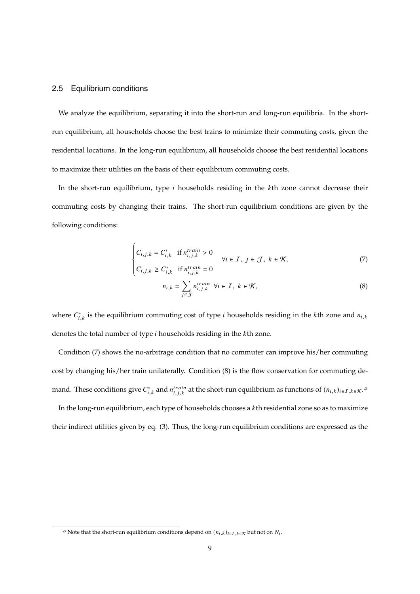### 2.5 Equilibrium conditions

J.

We analyze the equilibrium, separating it into the short-run and long-run equilibria. In the shortrun equilibrium, all households choose the best trains to minimize their commuting costs, given the residential locations. In the long-run equilibrium, all households choose the best residential locations to maximize their utilities on the basis of their equilibrium commuting costs.

In the short-run equilibrium, type  $i$  households residing in the  $k$ th zone cannot decrease their commuting costs by changing their trains. The short-run equilibrium conditions are given by the following conditions:

$$
\begin{cases}\nC_{i,j,k} = C_{i,k}^* & \text{if } n_{i,j,k}^{train} > 0 \\
C_{i,j,k} \ge C_{i,k}^* & \text{if } n_{i,j,k}^{train} = 0\n\end{cases} \forall i \in \mathcal{I}, j \in \mathcal{J}, k \in \mathcal{K},
$$
\n(7)

$$
n_{i,k} = \sum_{j \in \mathcal{J}} n_{i,j,k}^{train} \quad \forall i \in \mathcal{I}, \ k \in \mathcal{K}, \tag{8}
$$

where  $C_{i,k}^*$  is the equilibrium commuting cost of type *i* households residing in the *k*th zone and  $n_{i,k}$ denotes the total number of type  $i$  households residing in the  $k$ th zone.

Condition (7) shows the no-arbitrage condition that no commuter can improve his/her commuting cost by changing his/her train unilaterally. Condition (8) is the flow conservation for commuting demand. These conditions give  $C^*_{i,k}$  and  $n^{train}_{i,j,k}$  at the short-run equilibrium as functions of  $(n_{i,k})_{i\in I,k\in K}.$ 

In the long-run equilibrium, each type of households chooses a  $k$ th residential zone so as to maximize their indirect utilities given by eq. (3). Thus, the long-run equilibrium conditions are expressed as the

<sup>&</sup>lt;sup>3</sup> Note that the short-run equilibrium conditions depend on  $(n_{i,k})_{i\in I, k\in K}$  but not on  $N_i$ .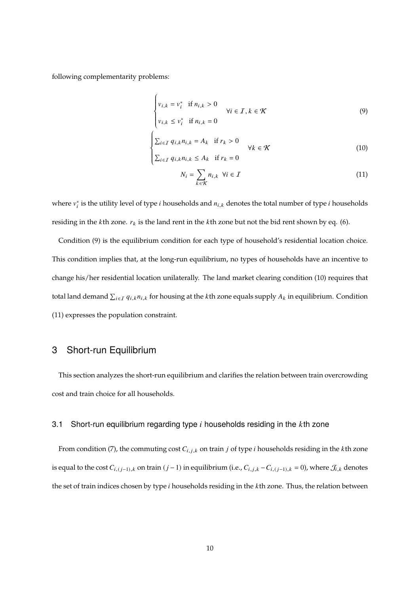following complementarity problems:

 $\overline{a}$ 

$$
\begin{cases}\nv_{i,k} = v_i^* & \text{if } n_{i,k} > 0 \\
v_{i,k} \le v_i^* & \text{if } n_{i,k} = 0\n\end{cases} \quad \forall i \in \mathcal{I}, k \in \mathcal{K}
$$
\n(9)

$$
\begin{cases}\n\sum_{i \in I} q_{i,k} n_{i,k} = A_k & \text{if } r_k > 0 \\
\sum_{i \in I} q_{i,k} n_{i,k} \leq A_k & \text{if } r_k = 0\n\end{cases}
$$
\n(10)

$$
N_i = \sum_{k \in \mathcal{K}} n_{i,k} \ \forall i \in \mathcal{I}
$$
 (11)

where  $v_i^*$  $_i^*$  is the utility level of type  $i$  households and  $n_{i,k}$  denotes the total number of type  $i$  households residing in the  $k$ th zone.  $r_k$  is the land rent in the  $k$ th zone but not the bid rent shown by eq. (6).

Condition (9) is the equilibrium condition for each type of household's residential location choice. This condition implies that, at the long-run equilibrium, no types of households have an incentive to change his/her residential location unilaterally. The land market clearing condition (10) requires that total land demand  $\sum_{i\in I}q_{i,k}n_{i,k}$  for housing at the  $k$ th zone equals supply  $A_k$  in equilibrium. Condition (11) expresses the population constraint.

## 3 Short-run Equilibrium

This section analyzes the short-run equilibrium and clarifies the relation between train overcrowding cost and train choice for all households.

### 3.1 Short-run equilibrium regarding type  $i$  households residing in the  $k$ th zone

From condition (7), the commuting cost  $C_{i,j,k}$  on train *j* of type *i* households residing in the *k*th zone is equal to the cost  $C_{i,(j-1),k}$  on train  $(j-1)$  in equilibrium (i.e.,  $C_{i,j,k} - C_{i,(j-1),k} = 0$ ), where  $\mathcal{J}_{i,k}$  denotes the set of train indices chosen by type  $i$  households residing in the  $k$ th zone. Thus, the relation between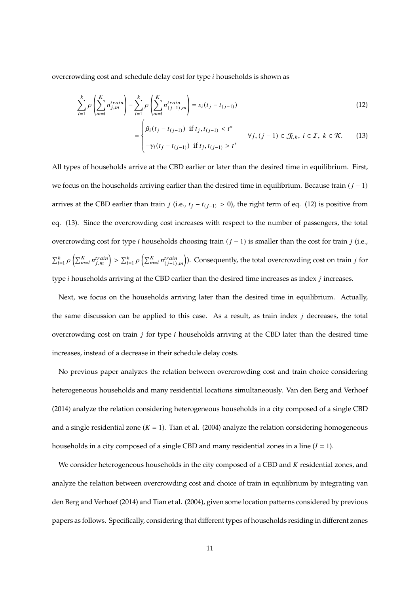overcrowding cost and schedule delay cost for type  $i$  households is shown as

$$
\sum_{l=1}^{k} \rho \left( \sum_{m=l}^{K} n_{j,m}^{train} \right) - \sum_{l=1}^{k} \rho \left( \sum_{m=l}^{K} n_{(j-1),m}^{train} \right) = s_i(t_j - t_{(j-1)})
$$
\n(12)

$$
= \begin{cases} \beta_i(t_j - t_{(j-1)}) & \text{if } t_j, t_{(j-1)} < t^* \\ -\gamma_i(t_j - t_{(j-1)}) & \text{if } t_j, t_{(j-1)} > t^* \end{cases} \quad \forall j, (j-1) \in \mathcal{J}_{i,k}, i \in \mathcal{I}, k \in \mathcal{K}. \tag{13}
$$

All types of households arrive at the CBD earlier or later than the desired time in equilibrium. First, we focus on the households arriving earlier than the desired time in equilibrium. Because train  $(j - 1)$ arrives at the CBD earlier than train *j* (i.e.,  $t_j - t_{(j-1)} > 0$ ), the right term of eq. (12) is positive from eq. (13). Since the overcrowding cost increases with respect to the number of passengers, the total overcrowding cost for type *i* households choosing train  $(j - 1)$  is smaller than the cost for train *j* (i.e.,  $\sum_{l=1}^k \rho\left(\sum_{m=l}^K n_{j,m}^{train}\right) > \sum_{l=1}^k \rho\left(\sum_{m=l}^K n_{(j-1),m}^{train}\right)$ ). Consequently, the total overcrowding cost on train j for type  $i$  households arriving at the CBD earlier than the desired time increases as index  $j$  increases.

Next, we focus on the households arriving later than the desired time in equilibrium. Actually, the same discussion can be applied to this case. As a result, as train index  $j$  decreases, the total overcrowding cost on train  $j$  for type  $i$  households arriving at the CBD later than the desired time increases, instead of a decrease in their schedule delay costs.

No previous paper analyzes the relation between overcrowding cost and train choice considering heterogeneous households and many residential locations simultaneously. Van den Berg and Verhoef (2014) analyze the relation considering heterogeneous households in a city composed of a single CBD and a single residential zone  $(K = 1)$ . Tian et al. (2004) analyze the relation considering homogeneous households in a city composed of a single CBD and many residential zones in a line  $(I = 1)$ .

We consider heterogeneous households in the city composed of a CBD and  $K$  residential zones, and analyze the relation between overcrowding cost and choice of train in equilibrium by integrating van den Berg and Verhoef (2014) and Tian et al. (2004), given some location patterns considered by previous papers as follows. Specifically, considering that different types of households residing in different zones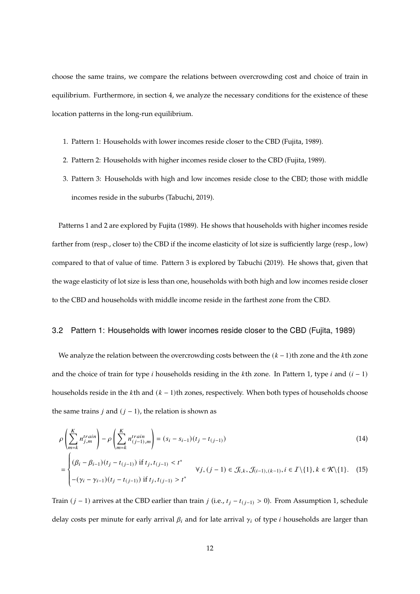choose the same trains, we compare the relations between overcrowding cost and choice of train in equilibrium. Furthermore, in section 4, we analyze the necessary conditions for the existence of these location patterns in the long-run equilibrium.

- 1. Pattern 1: Households with lower incomes reside closer to the CBD (Fujita, 1989).
- 2. Pattern 2: Households with higher incomes reside closer to the CBD (Fujita, 1989).
- 3. Pattern 3: Households with high and low incomes reside close to the CBD; those with middle incomes reside in the suburbs (Tabuchi, 2019).

Patterns 1 and 2 are explored by Fujita (1989). He shows that households with higher incomes reside farther from (resp., closer to) the CBD if the income elasticity of lot size is sufficiently large (resp., low) compared to that of value of time. Pattern 3 is explored by Tabuchi (2019). He shows that, given that the wage elasticity of lot size is less than one, households with both high and low incomes reside closer to the CBD and households with middle income reside in the farthest zone from the CBD.

### 3.2 Pattern 1: Households with lower incomes reside closer to the CBD (Fujita, 1989)

We analyze the relation between the overcrowding costs between the  $(k-1)$ th zone and the kth zone and the choice of train for type *i* households residing in the *k*th zone. In Pattern 1, type *i* and  $(i - 1)$ households reside in the kth and  $(k - 1)$ th zones, respectively. When both types of households choose the same trains  $j$  and  $(j - 1)$ , the relation is shown as

$$
\rho\left(\sum_{m=k}^{K} n_{j,m}^{train}\right) - \rho\left(\sum_{m=k}^{K} n_{(j-1),m}^{train}\right) = (s_i - s_{i-1})(t_j - t_{(j-1)})
$$
\n
$$
= \begin{cases}\n(\beta_i - \beta_{i-1})(t_j - t_{(j-1)}) & \text{if } t_j, t_{(j-1)} < t^* \\
-(\gamma_i - \gamma_{i-1})(t_j - t_{(j-1)}) & \text{if } t_j, t_{(j-1)} > t^*\n\end{cases} \quad \forall j, (j-1) \in \mathcal{J}_{i,k}, \mathcal{J}_{(i-1),(k-1)}, i \in \mathcal{I} \setminus \{1\}, k \in \mathcal{K} \setminus \{1\}. \tag{15}
$$

Train ( $j$  − 1) arrives at the CBD earlier than train  $j$  (i.e.,  $t_j - t_{(j-1)} > 0$ ). From Assumption 1, schedule delay costs per minute for early arrival  $\beta_i$  and for late arrival  $\gamma_i$  of type *i* households are larger than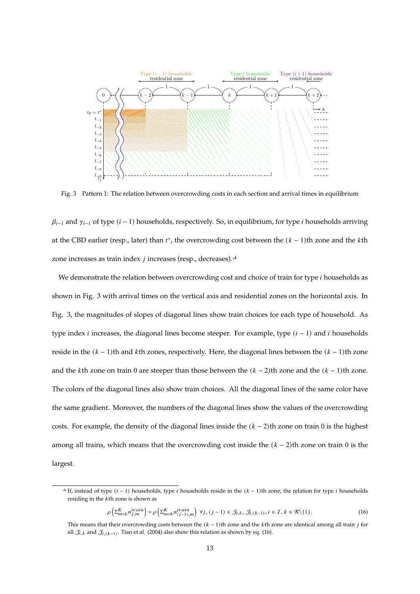

Fig. 3 Pattern 1: The relation between overcrowding costs in each section and arrival times in equilibrium

 $\beta_{i-1}$  and  $\gamma_{i-1}$  of type  $(i-1)$  households, respectively. So, in equilibrium, for type *i* households arriving at the CBD earlier (resp., later) than  $t^*$ , the overcrowding cost between the  $(k-1)$ th zone and the kth zone increases as train index  $j$  increases (resp., decreases).<sup>44</sup>

We demonstrate the relation between overcrowding cost and choice of train for type *i* households as shown in Fig. 3 with arrival times on the vertical axis and residential zones on the horizontal axis. In Fig. 3, the magnitudes of slopes of diagonal lines show train choices for each type of household. As type index *i* increases, the diagonal lines become steeper. For example, type  $(i - 1)$  and *i* households reside in the  $(k - 1)$ th and kth zones, respectively. Here, the diagonal lines between the  $(k - 1)$ th zone and the kth zone on train 0 are steeper than those between the  $(k - 2)$ th zone and the  $(k - 1)$ th zone. The colors of the diagonal lines also show train choices. All the diagonal lines of the same color have the same gradient. Moreover, the numbers of the diagonal lines show the values of the overcrowding costs. For example, the density of the diagonal lines inside the  $(k - 2)$ th zone on train 0 is the highest among all trains, which means that the overcrowding cost inside the  $(k - 2)$ th zone on train 0 is the largest.

$$
\rho\left(\sum_{m=k}^{K} n_{j,m}^{train}\right) = \rho\left(\sum_{m=k}^{K} n_{(j-1),m}^{train}\right) \ \forall j, (j-1) \in \mathcal{J}_{i,k}, \mathcal{J}_{i,(k-1)}, i \in \mathcal{I}, k \in \mathcal{K}\backslash\{1\}.
$$
\n(16)

<sup>&</sup>lt;sup>4</sup> If, instead of type  $(i - 1)$  households, type *i* households reside in the  $(k - 1)$ th zone, the relation for type *i* households residing in the  $k$ th zone is shown as

This means that their overcrowding costs between the  $(k - 1)$ th zone and the kth zone are identical among all train *j* for all  $\mathcal{J}_{i,k}$  and  $\mathcal{J}_{i,(k-1)}.$  Tian et al. (2004) also show this relation as shown by eq. (16).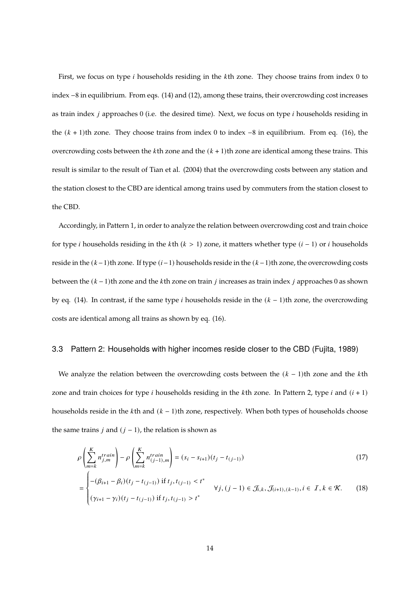First, we focus on type  $i$  households residing in the  $k$ th zone. They choose trains from index  $0$  to index −8 in equilibrium. From eqs. (14) and (12), among these trains, their overcrowding cost increases as train index  $j$  approaches 0 (i.e. the desired time). Next, we focus on type  $i$  households residing in the  $(k + 1)$ th zone. They choose trains from index 0 to index  $-8$  in equilibrium. From eq. (16), the overcrowding costs between the  $k$ th zone and the  $(k + 1)$ th zone are identical among these trains. This result is similar to the result of Tian et al. (2004) that the overcrowding costs between any station and the station closest to the CBD are identical among trains used by commuters from the station closest to the CBD.

Accordingly, in Pattern 1, in order to analyze the relation between overcrowding cost and train choice for type *i* households residing in the *k*th ( $k > 1$ ) zone, it matters whether type ( $i - 1$ ) or  $i$  households reside in the  $(k-1)$ th zone. If type  $(i-1)$  households reside in the  $(k-1)$ th zone, the overcrowding costs between the  $(k-1)$ th zone and the kth zone on train *j* increases as train index *j* approaches 0 as shown by eq. (14). In contrast, if the same type *i* households reside in the  $(k - 1)$ th zone, the overcrowding costs are identical among all trains as shown by eq. (16).

### 3.3 Pattern 2: Households with higher incomes reside closer to the CBD (Fujita, 1989)

We analyze the relation between the overcrowding costs between the  $(k - 1)$ th zone and the kth zone and train choices for type *i* households residing in the *k*th zone. In Pattern 2, type *i* and  $(i + 1)$ households reside in the kth and  $(k - 1)$ th zone, respectively. When both types of households choose the same trains  $j$  and  $(j - 1)$ , the relation is shown as

$$
\rho\left(\sum_{m=k}^{K} n_{j,m}^{train}\right) - \rho\left(\sum_{m=k}^{K} n_{(j-1),m}^{train}\right) = (s_i - s_{i+1})(t_j - t_{(j-1)})
$$
\n
$$
= \begin{cases}\n-(\beta_{i+1} - \beta_i)(t_j - t_{(j-1)}) & \text{if } t_j, t_{(j-1)} < t^* \\
\forall i, (i-1) \in \mathcal{F}_{i,k}, \mathcal{F}_{i+1, (k-1)}, i \in \mathcal{I}, k \in \mathcal{K}.\n\end{cases} \tag{18}
$$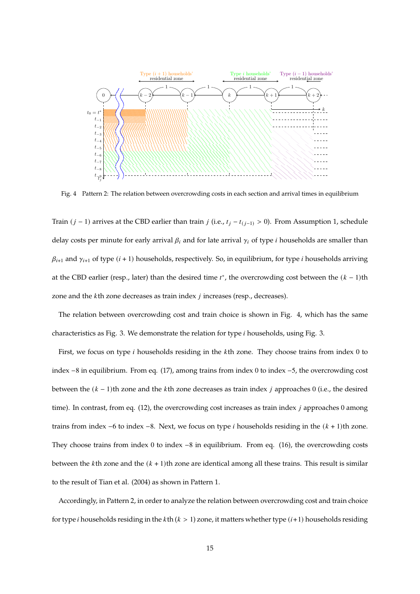

Fig. 4 Pattern 2: The relation between overcrowding costs in each section and arrival times in equilibrium

Train ( $j$  − 1) arrives at the CBD earlier than train  $j$  (i.e.,  $t_j - t_{(j-1)} > 0$ ). From Assumption 1, schedule delay costs per minute for early arrival  $\beta_i$  and for late arrival  $\gamma_i$  of type *i* households are smaller than  $\beta_{i+1}$  and  $\gamma_{i+1}$  of type ( $i + 1$ ) households, respectively. So, in equilibrium, for type *i* households arriving at the CBD earlier (resp., later) than the desired time  $t^*$ , the overcrowding cost between the  $(k - 1)$ th zone and the  $k$ th zone decreases as train index  $j$  increases (resp., decreases).

The relation between overcrowding cost and train choice is shown in Fig. 4, which has the same characteristics as Fig. 3. We demonstrate the relation for type  $i$  households, using Fig. 3.

First, we focus on type *i* households residing in the *k*th zone. They choose trains from index 0 to index −8 in equilibrium. From eq. (17), among trains from index 0 to index −5, the overcrowding cost between the  $(k - 1)$ th zone and the kth zone decreases as train index *j* approaches 0 (i.e., the desired time). In contrast, from eq.  $(12)$ , the overcrowding cost increases as train index *j* approaches 0 among trains from index  $-6$  to index  $-8$ . Next, we focus on type *i* households residing in the  $(k + 1)$ th zone. They choose trains from index 0 to index −8 in equilibrium. From eq. (16), the overcrowding costs between the kth zone and the  $(k + 1)$ th zone are identical among all these trains. This result is similar to the result of Tian et al. (2004) as shown in Pattern 1.

Accordingly, in Pattern 2, in order to analyze the relation between overcrowding cost and train choice for type *i* households residing in the *k*th ( $k > 1$ ) zone, it matters whether type ( $i+1$ ) households residing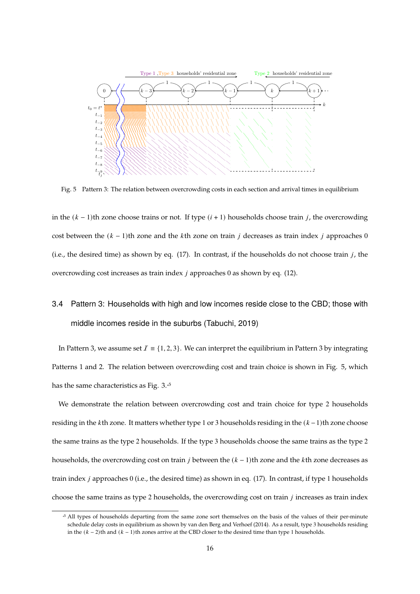

Fig. 5 Pattern 3: The relation between overcrowding costs in each section and arrival times in equilibrium

in the  $(k-1)$ th zone choose trains or not. If type  $(i + 1)$  households choose train *j*, the overcrowding cost between the  $(k - 1)$ th zone and the kth zone on train *j* decreases as train index *j* approaches 0 (i.e., the desired time) as shown by eq.  $(17)$ . In contrast, if the households do not choose train j, the overcrowding cost increases as train index  $j$  approaches 0 as shown by eq. (12).

## 3.4 Pattern 3: Households with high and low incomes reside close to the CBD; those with middle incomes reside in the suburbs (Tabuchi, 2019)

In Pattern 3, we assume set  $I = \{1, 2, 3\}$ . We can interpret the equilibrium in Pattern 3 by integrating Patterns 1 and 2. The relation between overcrowding cost and train choice is shown in Fig. 5, which has the same characteristics as Fig. 3.<sup>5</sup>

We demonstrate the relation between overcrowding cost and train choice for type 2 households residing in the kth zone. It matters whether type 1 or 3 households residing in the  $(k-1)$ th zone choose the same trains as the type 2 households. If the type 3 households choose the same trains as the type 2 households, the overcrowding cost on train *j* between the  $(k - 1)$ th zone and the *k*th zone decreases as train index  $j$  approaches 0 (i.e., the desired time) as shown in eq. (17). In contrast, if type 1 households choose the same trains as type 2 households, the overcrowding cost on train  $j$  increases as train index

<sup>&</sup>lt;sup>5</sup> All types of households departing from the same zone sort themselves on the basis of the values of their per-minute schedule delay costs in equilibrium as shown by van den Berg and Verhoef (2014). As a result, type 3 households residing in the  $(k − 2)$ th and  $(k − 1)$ th zones arrive at the CBD closer to the desired time than type 1 households.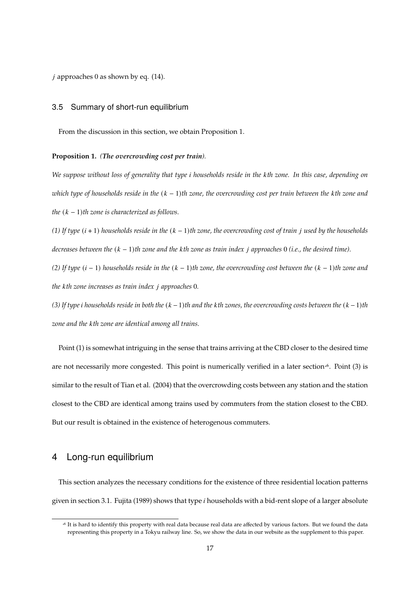$i$  approaches 0 as shown by eq. (14).

### 3.5 Summary of short-run equilibrium

From the discussion in this section, we obtain Proposition 1.

**Proposition 1.** *(The overcrowding cost per train).*

*We suppose without loss of generality that type households reside in the th zone. In this case, depending on which type of households reside in the*  $(k − 1)$ *th zone, the overcrowding cost per train between the kth zone and the*  $(k - 1)$ *th* zone is characterized as follows.

(1) If type  $(i + 1)$  households reside in the  $(k - 1)$ th zone, the overcrowding cost of train j used by the households *decreases between the*  $(k - 1)$ *th zone and the kth zone as train index j approaches* 0 *(i.e., the desired time).* 

 $(2)$  If type  $(i − 1)$  *households reside in the*  $(k − 1)$ *th zone, the overcrowding cost between the*  $(k − 1)$ *th zone and the kth zone increases as train index j approaches* 0*.* 

 $(3)$  If type *i* households reside in both the  $(k-1)$ <sup>th</sup> and the kth zones, the overcrowding costs between the  $(k-1)$ <sup>th</sup> *zone and the th zone are identical among all trains.*

Point (1) is somewhat intriguing in the sense that trains arriving at the CBD closer to the desired time are not necessarily more congested. This point is numerically verified in a later section<sup>\*6</sup>. Point (3) is similar to the result of Tian et al. (2004) that the overcrowding costs between any station and the station closest to the CBD are identical among trains used by commuters from the station closest to the CBD. But our result is obtained in the existence of heterogenous commuters.

## 4 Long-run equilibrium

This section analyzes the necessary conditions for the existence of three residential location patterns given in section 3.1. Fujita (1989) shows that type  $i$  households with a bid-rent slope of a larger absolute

<sup>\*</sup> 6 It is hard to identify this property with real data because real data are affected by various factors. But we found the data representing this property in a Tokyu railway line. So, we show the data in our website as the supplement to this paper.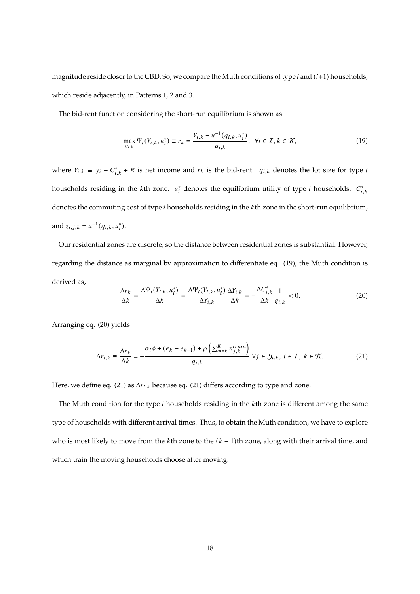magnitude reside closer to the CBD. So, we compare the Muth conditions of type  $i$  and  $(i+1)$  households, which reside adjacently, in Patterns 1, 2 and 3.

The bid-rent function considering the short-run equilibrium is shown as

$$
\max_{q_{i,k}} \Psi_i(Y_{i,k}, u_i^*) \equiv r_k = \frac{Y_{i,k} - u^{-1}(q_{i,k}, u_i^*)}{q_{i,k}}, \ \forall i \in \mathcal{I}, k \in \mathcal{K},
$$
\n(19)

where  $Y_{i,k} \equiv y_i - C_{i,k}^* + R$  is net income and  $r_k$  is the bid-rent.  $q_{i,k}$  denotes the lot size for type is households residing in the  $k$ th zone.  $u_i^*$  $i_i^*$  denotes the equilibrium utility of type *i* households.  $C_i^*$  $i, k$ denotes the commuting cost of type *i* households residing in the *k*th zone in the short-run equilibrium, and  $z_{i,j,k} = u^{-1}(q_{i,k}, u_i^*)$ .

Our residential zones are discrete, so the distance between residential zones is substantial. However, regarding the distance as marginal by approximation to differentiate eq. (19), the Muth condition is derived as,

$$
\frac{\Delta r_k}{\Delta k} = \frac{\Delta \Psi_i(Y_{i,k}, u_i^*)}{\Delta k} = \frac{\Delta \Psi_i(Y_{i,k}, u_i^*)}{\Delta Y_{i,k}} \frac{\Delta Y_{i,k}}{\Delta k} = -\frac{\Delta C_{i,k}^*}{\Delta k} \frac{1}{q_{i,k}} < 0.
$$
\n(20)

Arranging eq. (20) yields

$$
\Delta r_{i,k} \equiv \frac{\Delta r_k}{\Delta k} = -\frac{\alpha_i \phi + (e_k - e_{k-1}) + \rho \left(\sum_{m=k}^K n_{j,k}^{train}\right)}{q_{i,k}} \,\forall j \in \mathcal{J}_{i,k}, \, i \in \mathcal{I}, \, k \in \mathcal{K}.\tag{21}
$$

Here, we define eq. (21) as  $\Delta r_{i,k}$  because eq. (21) differs according to type and zone.

The Muth condition for the type  $i$  households residing in the  $k$ th zone is different among the same type of households with different arrival times. Thus, to obtain the Muth condition, we have to explore who is most likely to move from the  $k$ th zone to the  $(k - 1)$ th zone, along with their arrival time, and which train the moving households choose after moving.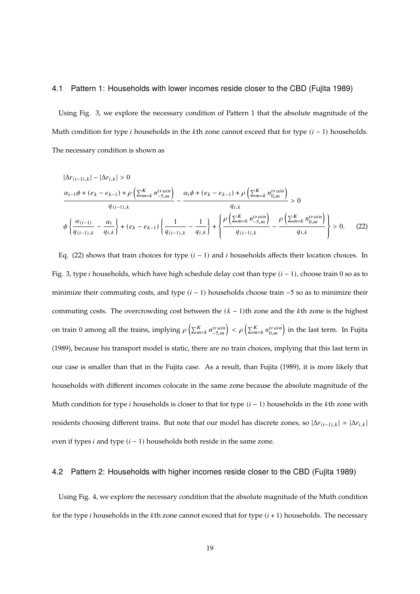### 4.1 Pattern 1: Households with lower incomes reside closer to the CBD (Fujita 1989)

Using Fig. 3, we explore the necessary condition of Pattern 1 that the absolute magnitude of the Muth condition for type *i* households in the *k*th zone cannot exceed that for type  $(i - 1)$  households. The necessary condition is shown as

$$
|\Delta r_{(i-1),k}| - |\Delta r_{i,k}| > 0
$$
  

$$
\frac{\alpha_{i-1}\phi + (e_k - e_{k-1}) + \rho \left(\sum_{m=k}^K n_{-5,m}^{train}\right)}{q_{(i-1),k}} - \frac{\alpha_i\phi + (e_k - e_{k-1}) + \rho \left(\sum_{m=k}^K n_{0,m}^{train}\right)}{q_{i,k}} > 0
$$
  

$$
\phi \left\{ \frac{\alpha_{(i-1)}}{q_{(i-1),k}} - \frac{\alpha_i}{q_{i,k}} \right\} + (e_k - e_{k-1}) \left\{ \frac{1}{q_{(i-1),k}} - \frac{1}{q_{i,k}} \right\} + \left\{ \frac{\rho \left(\sum_{m=k}^K n_{-5,m}^{train}\right)}{q_{(i-1),k}} - \frac{\rho \left(\sum_{m=k}^K n_{0,m}^{train}\right)}{q_{i,k}} \right\} > 0. \tag{22}
$$

Eq. (22) shows that train choices for type  $(i - 1)$  and *i* households affects their location choices. In Fig. 3, type *i* households, which have high schedule delay cost than type  $(i - 1)$ , choose train 0 so as to minimize their commuting costs, and type  $(i - 1)$  households choose train  $-5$  so as to minimize their commuting costs. The overcrowding cost between the  $(k - 1)$ th zone and the kth zone is the highest on train 0 among all the trains, implying  $\rho\left(\sum_{m=k}^K n_{-5,m}^{train}\right) < \rho\left(\sum_{m=k}^K n_{0,m}^{train}\right)$  in the last term. In Fujita (1989), because his transport model is static, there are no train choices, implying that this last term in our case is smaller than that in the Fujita case. As a result, than Fujita (1989), it is more likely that households with different incomes colocate in the same zone because the absolute magnitude of the Muth condition for type *i* households is closer to that for type  $(i - 1)$  households in the *k*th zone with residents choosing different trains. But note that our model has discrete zones, so  $|\Delta r_{(i-1),k}| \approx |\Delta r_{i,k}|$ even if types *i* and type  $(i - 1)$  households both reside in the same zone.

### 4.2 Pattern 2: Households with higher incomes reside closer to the CBD (Fujita 1989)

Using Fig. 4, we explore the necessary condition that the absolute magnitude of the Muth condition for the type *i* households in the *k*th zone cannot exceed that for type  $(i + 1)$  households. The necessary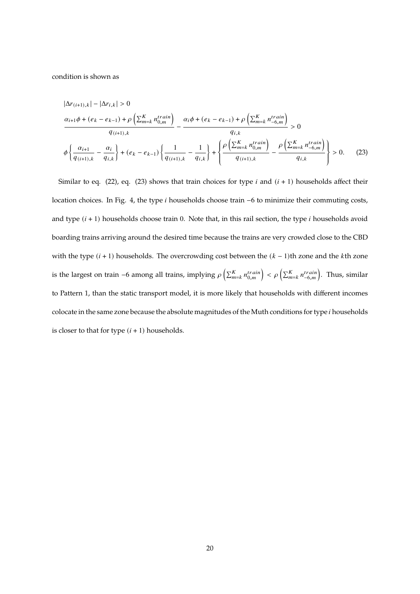condition is shown as

$$
|\Delta r_{(i+1),k}| - |\Delta r_{i,k}| > 0
$$
  

$$
\frac{\alpha_{i+1}\phi + (e_k - e_{k-1}) + \rho \left(\sum_{m=k}^K n_{0,m}^{train}\right)}{q_{(i+1),k}} - \frac{\alpha_i\phi + (e_k - e_{k-1}) + \rho \left(\sum_{m=k}^K n_{-6,m}^{train}\right)}{q_{i,k}} > 0
$$
  

$$
\phi \left\{ \frac{\alpha_{i+1}}{q_{(i+1),k}} - \frac{\alpha_i}{q_{i,k}} \right\} + (e_k - e_{k-1}) \left\{ \frac{1}{q_{(i+1),k}} - \frac{1}{q_{i,k}} \right\} + \left\{ \frac{\rho \left(\sum_{m=k}^K n_{0,m}^{train}\right)}{q_{(i+1),k}} - \frac{\rho \left(\sum_{m=k}^K n_{-6,m}^{train}\right)}{q_{i,k}} \right\} > 0. \tag{23}
$$

Similar to eq. (22), eq. (23) shows that train choices for type  $i$  and  $(i + 1)$  households affect their location choices. In Fig. 4, the type *i* households choose train −6 to minimize their commuting costs, and type  $(i + 1)$  households choose train 0. Note that, in this rail section, the type  $i$  households avoid boarding trains arriving around the desired time because the trains are very crowded close to the CBD with the type  $(i + 1)$  households. The overcrowding cost between the  $(k - 1)$ th zone and the kth zone is the largest on train −6 among all trains, implying  $\rho\left(\sum_{m=k}^{K} n_{0,m}^{train}\right) < \rho\left(\sum_{m=k}^{K} n_{-6,m}^{train}\right)$ . Thus, similar to Pattern 1, than the static transport model, it is more likely that households with different incomes colocate in the same zone because the absolute magnitudes of the Muth conditions for type *i* households is closer to that for type  $(i + 1)$  households.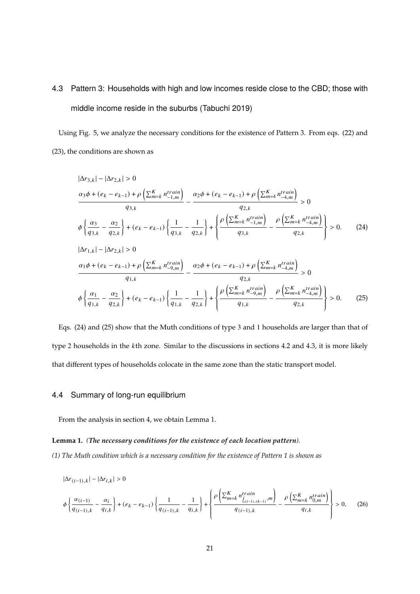## 4.3 Pattern 3: Households with high and low incomes reside close to the CBD; those with middle income reside in the suburbs (Tabuchi 2019)

Using Fig. 5, we analyze the necessary conditions for the existence of Pattern 3. From eqs. (22) and (23), the conditions are shown as

$$
|\Delta r_{3,k}| - |\Delta r_{2,k}| > 0
$$
\n
$$
\frac{\alpha_3 \phi + (e_k - e_{k-1}) + \rho \left( \sum_{m=k}^K n_{-1,m}^{train} \right)}{q_{3,k}} - \frac{\alpha_2 \phi + (e_k - e_{k-1}) + \rho \left( \sum_{m=4}^K n_{-4,m}^{train} \right)}{q_{2,k}} > 0
$$
\n
$$
\phi \left\{ \frac{\alpha_3}{q_{3,k}} - \frac{\alpha_2}{q_{2,k}} \right\} + (e_k - e_{k-1}) \left\{ \frac{1}{q_{3,k}} - \frac{1}{q_{2,k}} \right\} + \left\{ \frac{\rho \left( \sum_{m=k}^K n_{-1,m}^{train} \right)}{q_{3,k}} - \frac{\rho \left( \sum_{m=k}^K n_{-4,m}^{train} \right)}{q_{2,k}} \right\} > 0. \tag{24}
$$
\n
$$
|\Delta r_{1,k}| - |\Delta r_{2,k}| > 0
$$
\n
$$
\frac{\alpha_1 \phi + (e_k - e_{k-1}) + \rho \left( \sum_{m=k}^K n_{-9,m}^{train} \right)}{q_{1,k}} - \frac{\alpha_2 \phi + (e_k - e_{k-1}) + \rho \left( \sum_{m=k}^K n_{-4,m}^{train} \right)}{q_{2,k}} > 0
$$
\n
$$
\phi \left\{ \frac{\alpha_1}{q_{1,k}} - \frac{\alpha_2}{q_{2,k}} \right\} + (e_k - e_{k-1}) \left\{ \frac{1}{q_{1,k}} - \frac{1}{q_{2,k}} \right\} + \left\{ \frac{\rho \left( \sum_{m=k}^K n_{-9,m}^{train} \right)}{q_{1,k}} - \frac{\rho \left( \sum_{m=k}^K n_{-4,m}^{train} \right)}{q_{2,k}} \right\} > 0. \tag{25}
$$

Eqs. (24) and (25) show that the Muth conditions of type 3 and 1 households are larger than that of type 2 households in the  $k$ th zone. Similar to the discussions in sections 4.2 and 4.3, it is more likely that different types of households colocate in the same zone than the static transport model.

### 4.4 Summary of long-run equilibrium

From the analysis in section 4, we obtain Lemma 1.

### **Lemma 1.** *(The necessary conditions for the existence of each location pattern).*

*(1) The Muth condition which is a necessary condition for the existence of Pattern 1 is shown as*

$$
|\Delta r_{(i-1),k}| - |\Delta r_{i,k}| > 0
$$
  

$$
\phi \left\{ \frac{\alpha_{(i-1)}}{q_{(i-1),k}} - \frac{\alpha_i}{q_{i,k}} \right\} + (e_k - e_{k-1}) \left\{ \frac{1}{q_{(i-1),k}} - \frac{1}{q_{i,k}} \right\} + \left\{ \frac{\rho \left( \sum_{m=k}^K n_{\underline{j}_{(i-1),(k-1)}}^{train}, m \right)}{q_{(i-1),k}} - \frac{\rho \left( \sum_{m=k}^K n_{0,m}^{train} \right)}{q_{i,k}} \right\} > 0, \quad (26)
$$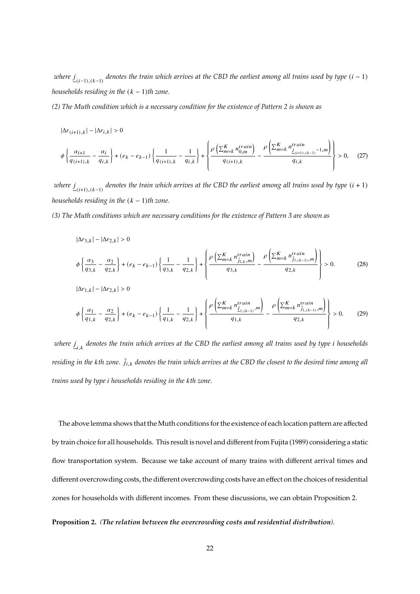$\nu$ here  $\underline{j}_{-(i-1),(k-1)}$  denotes the train which arrives at the CBD the earliest among all trains used by type  $(i-1)$ *households residing in the*  $(k - 1)$ *th zone.* 

*(2) The Muth condition which is a necessary condition for the existence of Pattern 2 is shown as*

 $|\Delta r_{(i+1),k}| - |\Delta r_{i,k}| > 0$ 

$$
\phi\left\{\frac{\alpha_{i+1}}{q_{(i+1),k}} - \frac{\alpha_i}{q_{i,k}}\right\} + (e_k - e_{k-1})\left\{\frac{1}{q_{(i+1),k}} - \frac{1}{q_{i,k}}\right\} + \left\{\frac{\rho\left(\sum_{m=k}^K n_{0,m}^{train}\right)}{q_{(i+1),k}} - \frac{\rho\left(\sum_{m=k}^K n_{\underline{j}_{(i+1),(k-1)}}^{train} - 1, m\right)}{q_{i,k}}\right\} > 0, \quad (27)
$$

 $\nu$ here  $\underline{j}_{-(i+1),(k-1)}$  denotes the train which arrives at the CBD the earliest among all trains used by type  $(i+1)$ *households residing in the*  $(k - 1)$ *th zone.* 

*(3) The Muth conditions which are necessary conditions for the existence of Pattern 3 are shown as*

$$
|\Delta r_{3,k}| - |\Delta r_{2,k}| > 0
$$
\n
$$
\phi \left\{ \frac{\alpha_3}{q_{3,k}} - \frac{\alpha_2}{q_{2,k}} \right\} + (e_k - e_{k-1}) \left\{ \frac{1}{q_{3,k}} - \frac{1}{q_{2,k}} \right\} + \left\{ \frac{\rho \left( \sum_{m=k}^K n_{j_{2,k},m}^{train} \right)}{q_{3,k}} - \frac{\rho \left( \sum_{m=k}^K n_{j_{1,(k-1)},m}^{train} \right)}{q_{2,k}} \right\} > 0. \tag{28}
$$
\n
$$
|\Delta r_{1,k}| - |\Delta r_{2,k}| > 0
$$
\n
$$
\phi \left\{ \frac{\alpha_1}{q_{1,k}} - \frac{\alpha_2}{q_{2,k}} \right\} + (e_k - e_{k-1}) \left\{ \frac{1}{q_{1,k}} - \frac{1}{q_{2,k}} \right\} + \left\{ \frac{\rho \left( \sum_{m=k}^K n_{j_{1,(k-1)},m}^{train} \right)}{q_{1,k}} - \frac{\rho \left( \sum_{m=k}^K n_{j_{1,(k-1)},m}^{train} \right)}{q_{2,k}} \right\} > 0. \tag{29}
$$

*where* , *denotes the train which arrives at the CBD the earliest among all trains used by type households residing in the kth zone.*  $\bar{j}_{i,k}$  denotes the train which arrives at the CBD the closest to the desired time among all *trains used by type households residing in the th zone.*

The above lemma shows that the Muth conditions for the existence of each location pattern are affected by train choice for all households. This result is novel and different from Fujita (1989) considering a static flow transportation system. Because we take account of many trains with different arrival times and different overcrowding costs, the different overcrowding costs have an effect on the choices of residential zones for households with different incomes. From these discussions, we can obtain Proposition 2.

### **Proposition 2.** *(The relation between the overcrowding costs and residential distribution).*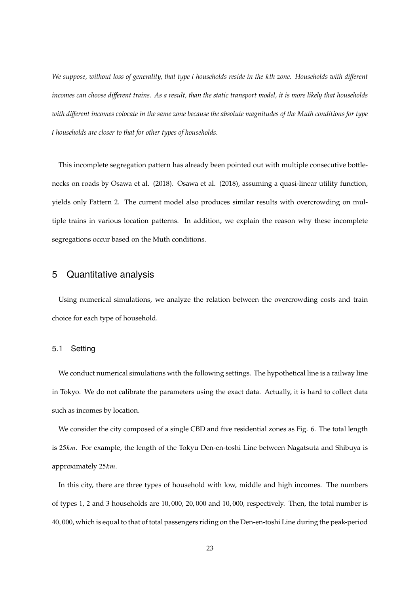*We suppose, without loss of generality, that type households reside in the th zone. Households with different incomes can choose different trains. As a result, than the static transport model, it is more likely that households with different incomes colocate in the same zone because the absolute magnitudes of the Muth conditions for type households are closer to that for other types of households.*

This incomplete segregation pattern has already been pointed out with multiple consecutive bottlenecks on roads by Osawa et al. (2018). Osawa et al. (2018), assuming a quasi-linear utility function, yields only Pattern 2. The current model also produces similar results with overcrowding on multiple trains in various location patterns. In addition, we explain the reason why these incomplete segregations occur based on the Muth conditions.

### 5 Quantitative analysis

Using numerical simulations, we analyze the relation between the overcrowding costs and train choice for each type of household.

### 5.1 Setting

We conduct numerical simulations with the following settings. The hypothetical line is a railway line in Tokyo. We do not calibrate the parameters using the exact data. Actually, it is hard to collect data such as incomes by location.

We consider the city composed of a single CBD and five residential zones as Fig. 6. The total length is  $25km$ . For example, the length of the Tokyu Den-en-toshi Line between Nagatsuta and Shibuya is approximately  $25km$ .

In this city, there are three types of household with low, middle and high incomes. The numbers of types 1, 2 and 3 households are 10, 000, 20, 000 and 10, 000, respectively. Then, the total number is 40, 000, which is equal to that of total passengers riding on the Den-en-toshi Line during the peak-period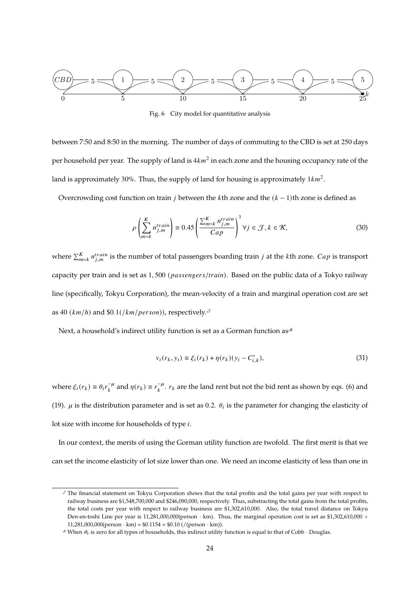

Fig. 6 City model for quantitative analysis

between 7:50 and 8:50 in the morning. The number of days of commuting to the CBD is set at 250 days per household per year. The supply of land is  $4km^2$  in each zone and the housing occupancy rate of the land is approximately 30%. Thus, the supply of land for housing is approximately  $1km^2$ .

Overcrowding cost function on train *j* between the *k*th zone and the  $(k - 1)$ th zone is defined as

$$
\rho\left(\sum_{m=k}^{K} n_{j,m}^{train}\right) \equiv 0.45 \left(\frac{\sum_{m=k}^{K} n_{j,m}^{train}}{Cap}\right)^3 \forall j \in \mathcal{J}, k \in \mathcal{K},\tag{30}
$$

where  $\sum_{m=k}^{K} n_{j,m}^{train}$  is the number of total passengers boarding train *j* at the *k*th zone. *Cap* is transport capacity per train and is set as  $1,500$  (*passengers/train*). Based on the public data of a Tokyo railway line (specifically, Tokyu Corporation), the mean-velocity of a train and marginal operation cost are set as 40  $(km/h)$  and \$0.1(/ $km/person)$ ), respectively.<sup>37</sup>

Next, a household's indirect utility function is set as a Gorman function as $*$ 

$$
v_i(r_k, y_i) \equiv \xi_i(r_k) + \eta(r_k)(y_i - C_{i,k}^*),
$$
\n(31)

where  $\xi_i(r_k) \equiv \theta_i r_k^{-\mu}$  $\int_k^{-\mu}$  and  $\eta(r_k) \equiv r_k^{-\mu}$  $\kappa^{-\mu}$ .  $r_k$  are the land rent but not the bid rent as shown by eqs. (6) and (19).  $\mu$  is the distribution parameter and is set as 0.2.  $\theta_i$  is the parameter for changing the elasticity of lot size with income for households of type  $i$ .

In our context, the merits of using the Gorman utility function are twofold. The first merit is that we can set the income elasticity of lot size lower than one. We need an income elasticity of less than one in

The financial statement on Tokyu Corporation shows that the total profits and the total gains per year with respect to railway business are \$1,548,700,000 and \$246,090,000, respectively. Thus, substracting the total gains from the total profits, the total costs per year with respect to railway business are \$1,302,610,000. Also, the total travel distance on Tokyu Den-en-toshi Line per year is 11,281,000,000(person  $\cdot$  km). Thus, the marginal operation cost is set as \$1,302,610,000 ÷ 11,281,000,000(person · km) =  $$0.1154 \approx $0.10$  (/(person · km)).

<sup>&</sup>lt;sup>8</sup> When  $\theta_i$  is zero for all types of households, this indirect utility function is equal to that of Cobb  $\cdot$  Douglas.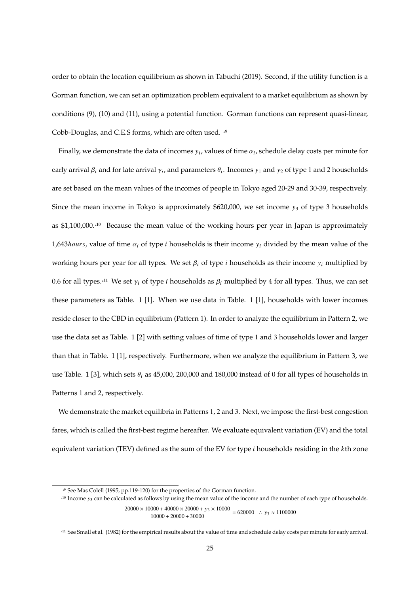order to obtain the location equilibrium as shown in Tabuchi (2019). Second, if the utility function is a Gorman function, we can set an optimization problem equivalent to a market equilibrium as shown by conditions (9), (10) and (11), using a potential function. Gorman functions can represent quasi-linear, Cobb-Douglas, and C.E.S forms, which are often used. \*9

Finally, we demonstrate the data of incomes  $y_i$ , values of time  $\alpha_i$ , schedule delay costs per minute for early arrival  $\beta_i$  and for late arrival  $\gamma_i$ , and parameters  $\theta_i$ . Incomes  $y_1$  and  $y_2$  of type 1 and 2 households are set based on the mean values of the incomes of people in Tokyo aged 20-29 and 30-39, respectively. Since the mean income in Tokyo is approximately  $$620,000$ , we set income  $y_3$  of type 3 households as \$1,100,000.<sup>\*10</sup> Because the mean value of the working hours per year in Japan is approximately 1,643 *hours*, value of time  $\alpha_i$  of type *i* households is their income  $y_i$  divided by the mean value of the working hours per year for all types. We set  $\beta_i$  of type *i* households as their income  $y_i$  multiplied by 0.6 for all types.<sup>\*11</sup> We set  $\gamma_i$  of type *i* households as  $\beta_i$  multiplied by 4 for all types. Thus, we can set these parameters as Table. 1 [1]. When we use data in Table. 1 [1], households with lower incomes reside closer to the CBD in equilibrium (Pattern 1). In order to analyze the equilibrium in Pattern 2, we use the data set as Table. 1 [2] with setting values of time of type 1 and 3 households lower and larger than that in Table. 1 [1], respectively. Furthermore, when we analyze the equilibrium in Pattern 3, we use Table. 1 [3], which sets  $\theta_i$  as 45,000, 200,000 and 180,000 instead of 0 for all types of households in Patterns 1 and 2, respectively.

We demonstrate the market equilibria in Patterns 1, 2 and 3. Next, we impose the first-best congestion fares, which is called the first-best regime hereafter. We evaluate equivalent variation (EV) and the total equivalent variation (TEV) defined as the sum of the EV for type  $i$  households residing in the  $k$ th zone

 $\frac{20000 \times 10000 + 40000 \times 20000 + y_3 \times 10000}{10000 \times 20000 + 20000} = 620000$  ∴ y<sub>3</sub> ≈ 1100000  $10000 + 20000 + 30000$ 

<sup>\*</sup> 9 See Mas Colell (1995, pp.119-120) for the properties of the Gorman function.

 $x^{10}$  Income  $y_3$  can be calculated as follows by using the mean value of the income and the number of each type of households.

<sup>&</sup>lt;sup>411</sup> See Small et al. (1982) for the empirical results about the value of time and schedule delay costs per minute for early arrival.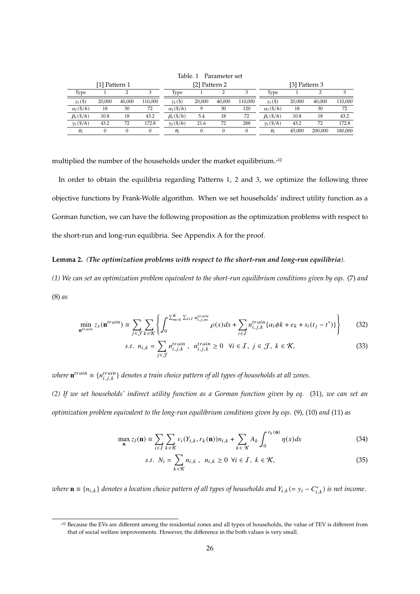|                   | [1] Pattern 1 |        |         |                   | [2] Pattern 2 |        |         | [3] Pattern 3           |        |         |         |
|-------------------|---------------|--------|---------|-------------------|---------------|--------|---------|-------------------------|--------|---------|---------|
| Type              |               |        |         | Type              |               |        |         | Type                    |        |         |         |
| $y_i(\$)$         | 20,000        | 40,000 | 110,000 | $y_i(\$)$         | 20,000        | 40,000 | 110,000 | $y_i(\$)$               | 20,000 | 40,000  | 110,000 |
| $\alpha_i$ (\$/h) | 18            | 30     | 72      | $\alpha_i$ (\$/h) |               | 30     | 120     | $\alpha_i$ (\$/h)       | 18     | 30      | 72      |
| $\beta_i$ (\$/h)  | 10.8          | 18     | 43.2    | $\beta_i$ (\$/h)  | 5.4           | 18     | 72      | $\beta_i$ (\$/h)        | 10.8   | 18      | 43.2    |
| $\gamma_i(\$/h)$  | 43.2          | 72     | 172.8   | $\gamma_i(\$/h)$  | 21.6          | 72     | 288     | $\gamma_i(\frac{s}{h})$ | 43.2   | 72      | 172.8   |
| $\theta_i$        |               |        |         | $\theta_i$        |               |        |         | $\theta_i$              | 45.000 | 200,000 | 180,000 |
|                   |               |        |         |                   |               |        |         |                         |        |         |         |

Table. 1 Parameter set

multiplied the number of the households under the market equilibrium.\* 12

In order to obtain the equilibria regarding Patterns 1, 2 and 3, we optimize the following three objective functions by Frank-Wolfe algorithm. When we set households' indirect utility function as a Gorman function, we can have the following proposition as the optimization problems with respect to the short-run and long-run equilibria. See Appendix A for the proof.

### **Lemma 2.** *(The optimization problems with respect to the short-run and long-run equilibria).*

*(1) We can set an optimization problem equivalent to the short-run equilibrium conditions given by eqs.* (7) *and* (8) *as*

$$
\min_{\mathbf{n}^{train}} z_s(\mathbf{n}^{train}) \equiv \sum_{j \in \mathcal{J}} \sum_{k \in \mathcal{K}} \left\{ \int_0^{\sum_{m=k}^K \sum_{i \in I} n_{i,j,m}^{train}} \rho(x) dx + \sum_{i \in I} n_{i,j,k}^{train} \{ \alpha_i \phi k + e_k + s_i(t_j - t^*) \} \right\}
$$
(32)

s.t. 
$$
n_{i,k} = \sum_{j \in \mathcal{J}} n_{i,j,k}^{train}, n_{i,j,k}^{train} \ge 0 \quad \forall i \in \mathcal{I}, j \in \mathcal{J}, k \in \mathcal{K},
$$
 (33)

where  $\mathbf{n}^{train} \equiv \{n_{i,j,k}^{train}\}$  denotes a train choice pattern of all types of households at all zones.

*(2) If we set households' indirect utility function as a Gorman function given by eq.* (31)*, we can set an optimization problem equivalent to the long-run equilibrium conditions given by eqs.* (9)*,* (10) *and* (11) *as*

$$
\max_{\mathbf{n}} z_l(\mathbf{n}) \equiv \sum_{i \in I} \sum_{k \in \mathcal{K}} v_i(Y_{i,k}, r_k(\mathbf{n})) n_{i,k} + \sum_{k \in \mathcal{K}} A_k \int_0^{r_k(\mathbf{n})} \eta(x) dx \tag{34}
$$

s.t. 
$$
N_i = \sum_{k \in \mathcal{K}} n_{i,k}, \quad n_{i,k} \ge 0 \ \forall i \in \mathcal{I}, \ k \in \mathcal{K},
$$
 (35)

 $where$   $\mathbf{n} \equiv \{n_{i,k}\}$  denotes a location choice pattern of all types of households and  $Y_{i,k} (= y_i - C^*_{i,k})$  is net income.

<sup>\*</sup> 12 Because the EVs are different among the residential zones and all types of households, the value of TEV is different from that of social welfare improvements. However, the difference in the both values is very small.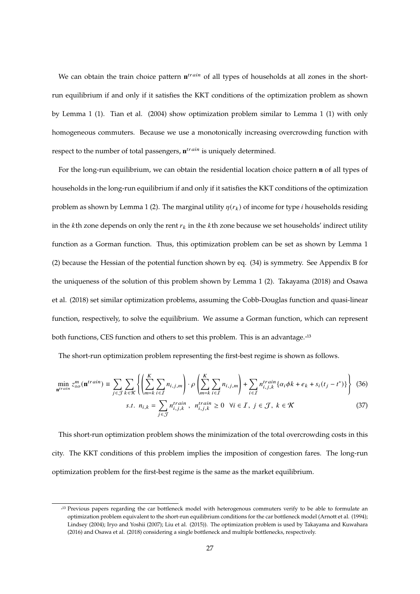We can obtain the train choice pattern  $n^{train}$  of all types of households at all zones in the shortrun equilibrium if and only if it satisfies the KKT conditions of the optimization problem as shown by Lemma 1 (1). Tian et al. (2004) show optimization problem similar to Lemma 1 (1) with only homogeneous commuters. Because we use a monotonically increasing overcrowding function with respect to the number of total passengers,  $\mathbf{n}^{train}$  is uniquely determined.

For the long-run equilibrium, we can obtain the residential location choice pattern **n** of all types of households in the long-run equilibrium if and only if it satisfies the KKT conditions of the optimization problem as shown by Lemma 1 (2). The marginal utility  $\eta(r_k)$  of income for type *i* households residing in the kth zone depends on only the rent  $r_k$  in the kth zone because we set households' indirect utility function as a Gorman function. Thus, this optimization problem can be set as shown by Lemma 1 (2) because the Hessian of the potential function shown by eq. (34) is symmetry. See Appendix B for the uniqueness of the solution of this problem shown by Lemma 1 (2). Takayama (2018) and Osawa et al. (2018) set similar optimization problems, assuming the Cobb-Douglas function and quasi-linear function, respectively, to solve the equilibrium. We assume a Gorman function, which can represent both functions, CES function and others to set this problem. This is an advantage.<sup>\*13</sup>

The short-run optimization problem representing the first-best regime is shown as follows.

$$
\min_{\mathbf{n}^{train}} z_{so}^m(\mathbf{n}^{train}) \equiv \sum_{j \in \mathcal{J}} \sum_{k \in \mathcal{K}} \left\{ \left( \sum_{m=k}^K \sum_{i \in \mathcal{I}} n_{i,j,m} \right) \cdot \rho \left( \sum_{m=k}^K \sum_{i \in \mathcal{I}} n_{i,j,m} \right) + \sum_{i \in \mathcal{I}} n_{i,j,k}^{train} \left\{ \alpha_i \phi k + e_k + s_i (t_j - t^*) \right\} \right\} \tag{36}
$$

s.t. 
$$
n_{i,k} = \sum_{j \in \mathcal{J}} n_{i,j,k}^{train}, \quad n_{i,j,k}^{train} \ge 0 \quad \forall i \in \mathcal{I}, \quad j \in \mathcal{J}, \quad k \in \mathcal{K}
$$
 (37)

This short-run optimization problem shows the minimization of the total overcrowding costs in this city. The KKT conditions of this problem implies the imposition of congestion fares. The long-run optimization problem for the first-best regime is the same as the market equilibrium.

<sup>\*</sup> 13 Previous papers regarding the car bottleneck model with heterogenous commuters verify to be able to formulate an optimization problem equivalent to the short-run equilibrium conditions for the car bottleneck model (Arnott et al. (1994); Lindsey (2004); Iryo and Yoshii (2007); Liu et al. (2015)). The optimization problem is used by Takayama and Kuwahara (2016) and Osawa et al. (2018) considering a single bottleneck and multiple bottlenecks, respectively.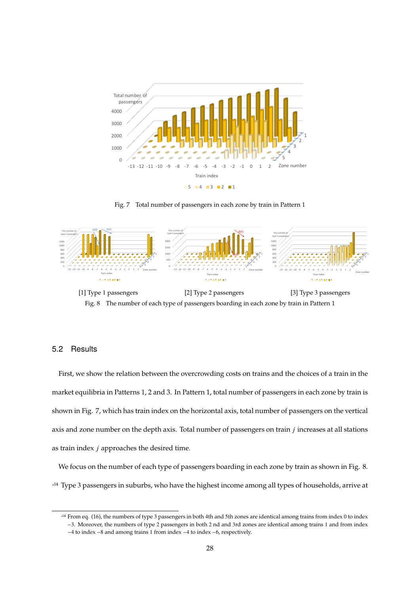

Fig. 7 Total number of passengers in each zone by train in Pattern 1



Fig. 8 The number of each type of passengers boarding in each zone by train in Pattern 1

### 5.2 Results

First, we show the relation between the overcrowding costs on trains and the choices of a train in the market equilibria in Patterns 1, 2 and 3. In Pattern 1, total number of passengers in each zone by train is shown in Fig. 7, which has train index on the horizontal axis, total number of passengers on the vertical axis and zone number on the depth axis. Total number of passengers on train  $j$  increases at all stations as train index  $j$  approaches the desired time.

We focus on the number of each type of passengers boarding in each zone by train as shown in Fig. 8. \* 14 Type 3 passengers in suburbs, who have the highest income among all types of households, arrive at

<sup>&</sup>lt;sup>414</sup> From eq. (16), the numbers of type 3 passengers in both 4th and 5th zones are identical among trains from index 0 to index −3. Moreover, the numbers of type 2 passengers in both 2 nd and 3rd zones are identical among trains 1 and from index

<sup>−</sup>4 to index −8 and among trains 1 from index −4 to index −6, respectively.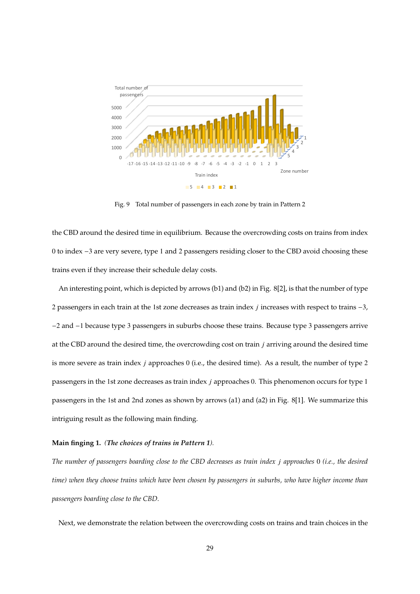

Fig. 9 Total number of passengers in each zone by train in Pattern 2

the CBD around the desired time in equilibrium. Because the overcrowding costs on trains from index 0 to index −3 are very severe, type 1 and 2 passengers residing closer to the CBD avoid choosing these trains even if they increase their schedule delay costs.

An interesting point, which is depicted by arrows (b1) and (b2) in Fig. 8[2], is that the number of type 2 passengers in each train at the 1st zone decreases as train index  $j$  increases with respect to trains  $-3$ , −2 and −1 because type 3 passengers in suburbs choose these trains. Because type 3 passengers arrive at the CBD around the desired time, the overcrowding cost on train  $j$  arriving around the desired time is more severe as train index  $j$  approaches 0 (i.e., the desired time). As a result, the number of type 2 passengers in the 1st zone decreases as train index  $j$  approaches 0. This phenomenon occurs for type 1 passengers in the 1st and 2nd zones as shown by arrows (a1) and (a2) in Fig. 8[1]. We summarize this intriguing result as the following main finding.

### **Main finging 1.** *(The choices of trains in Pattern 1).*

*The number of passengers boarding close to the CBD decreases as train index approaches* 0 *(i.e., the desired time) when they choose trains which have been chosen by passengers in suburbs, who have higher income than passengers boarding close to the CBD.*

Next, we demonstrate the relation between the overcrowding costs on trains and train choices in the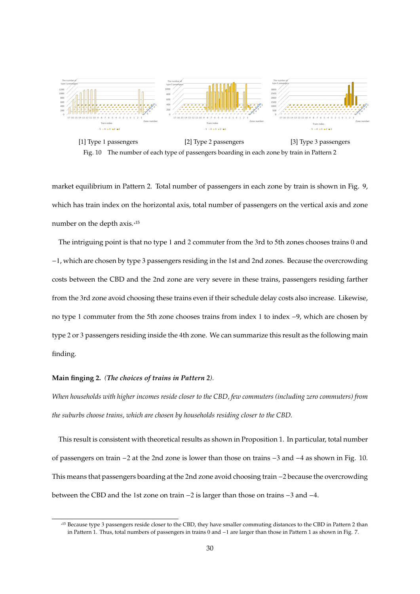

[1] Type 1 passengers [2] Type 2 passengers [3] Type 3 passengers Fig. 10 The number of each type of passengers boarding in each zone by train in Pattern 2

market equilibrium in Pattern 2. Total number of passengers in each zone by train is shown in Fig. 9, which has train index on the horizontal axis, total number of passengers on the vertical axis and zone number on the depth axis.\*<sup>15</sup>

The intriguing point is that no type 1 and 2 commuter from the 3rd to 5th zones chooses trains 0 and −1, which are chosen by type 3 passengers residing in the 1st and 2nd zones. Because the overcrowding costs between the CBD and the 2nd zone are very severe in these trains, passengers residing farther from the 3rd zone avoid choosing these trains even if their schedule delay costs also increase. Likewise, no type 1 commuter from the 5th zone chooses trains from index 1 to index −9, which are chosen by type 2 or 3 passengers residing inside the 4th zone. We can summarize this result as the following main finding.

### **Main finging 2.** *(The choices of trains in Pattern 2).*

*When households with higher incomes reside closer to the CBD, few commuters (including zero commuters) from the suburbs choose trains, which are chosen by households residing closer to the CBD.*

This result is consistent with theoretical results as shown in Proposition 1. In particular, total number of passengers on train −2 at the 2nd zone is lower than those on trains −3 and −4 as shown in Fig. 10. This means that passengers boarding at the 2nd zone avoid choosing train −2 because the overcrowding between the CBD and the 1st zone on train −2 is larger than those on trains −3 and −4.

<sup>\*</sup> 15 Because type 3 passengers reside closer to the CBD, they have smaller commuting distances to the CBD in Pattern 2 than in Pattern 1. Thus, total numbers of passengers in trains 0 and −1 are larger than those in Pattern 1 as shown in Fig. 7.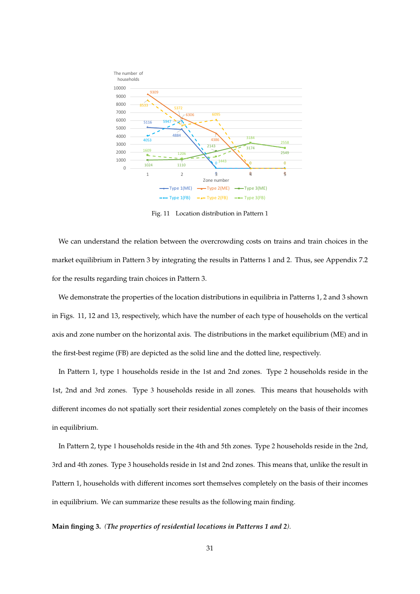

Fig. 11 Location distribution in Pattern 1

We can understand the relation between the overcrowding costs on trains and train choices in the market equilibrium in Pattern 3 by integrating the results in Patterns 1 and 2. Thus, see Appendix 7.2 for the results regarding train choices in Pattern 3.

We demonstrate the properties of the location distributions in equilibria in Patterns 1, 2 and 3 shown in Figs. 11, 12 and 13, respectively, which have the number of each type of households on the vertical axis and zone number on the horizontal axis. The distributions in the market equilibrium (ME) and in the first-best regime (FB) are depicted as the solid line and the dotted line, respectively.

In Pattern 1, type 1 households reside in the 1st and 2nd zones. Type 2 households reside in the st, 2nd and 3rd zones. Type 3 households reside in all zones. This means that households with different incomes do not spatially sort their residential zones completely on the basis of their incomes in equilibrium.

In Pattern 2, type 1 households reside in the 4th and 5th zones. Type 2 households reside in the 2nd, rd and 4th zones. Type 3 households reside in 1st and 2nd zones. This means that, unlike the result in Pattern 1, households with different incomes sort themselves completely on the basis of their incomes in equilibrium. We can summarize these results as the following main finding.

### **Main finging 3.** *(The properties of residential locations in Patterns 1 and 2).*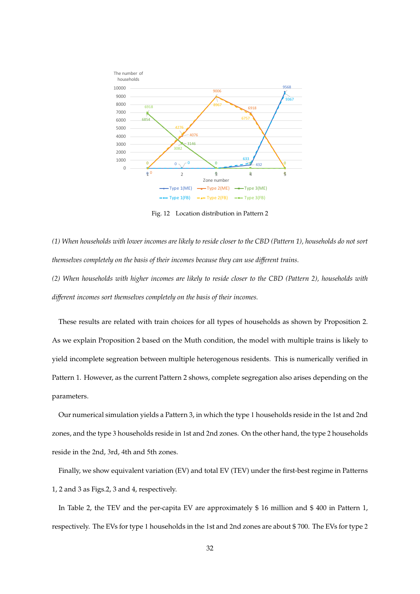

Fig. 12 Location distribution in Pattern 2

*(1) When households with lower incomes are likely to reside closer to the CBD (Pattern 1), households do not sort themselves completely on the basis of their incomes because they can use different trains.*

*(2) When households with higher incomes are likely to reside closer to the CBD (Pattern 2), households with different incomes sort themselves completely on the basis of their incomes.*

These results are related with train choices for all types of households as shown by Proposition 2. As we explain Proposition 2 based on the Muth condition, the model with multiple trains is likely to yield incomplete segreation between multiple heterogenous residents. This is numerically verified in Pattern 1. However, as the current Pattern 2 shows, complete segregation also arises depending on the parameters.

Our numerical simulation yields a Pattern 3, in which the type 1 households reside in the 1st and 2nd zones, and the type 3 households reside in 1st and 2nd zones. On the other hand, the type 2 households reside in the 2nd, 3rd, 4th and 5th zones.

Finally, we show equivalent variation (EV) and total EV (TEV) under the first-best regime in Patterns 1, 2 and 3 as Figs.2, 3 and 4, respectively.

In Table 2, the TEV and the per-capita EV are approximately \$ 16 million and \$ 400 in Pattern 1, respectively. The EVs for type 1 households in the 1st and 2nd zones are about \$ 700. The EVs for type 2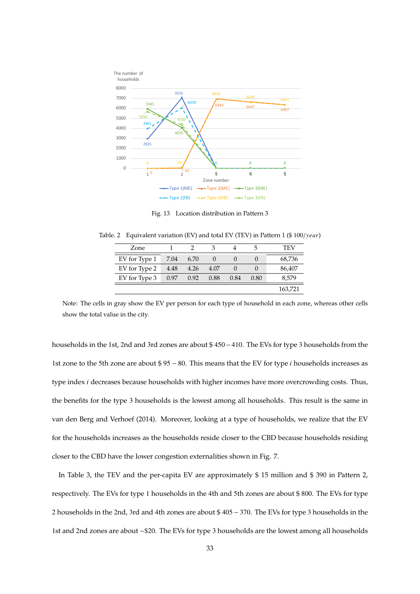

Fig. 13 Location distribution in Pattern 3

Table. 2 Equivalent variation (EV) and total EV (TEV) in Pattern 1 (\$ $100/year$ )

| Zone          |      |      |      |      | h    | TFV     |
|---------------|------|------|------|------|------|---------|
| EV for Type 1 | 7.04 | 6.70 |      |      |      | 68,736  |
| EV for Type 2 | 4.48 | 4.26 | 4.07 |      |      | 86,407  |
| EV for Type 3 | 0.97 | 0.92 | 0.88 | 0.84 | 0.80 | 8,579   |
|               |      |      |      |      |      | 163,721 |

Note: The cells in gray show the EV per person for each type of household in each zone, whereas other cells show the total value in the city.

households in the 1st, 2nd and 3rd zones are about \$ 450 − 410. The EVs for type 3 households from the 1st zone to the 5th zone are about \$ 95 − 80. This means that the EV for type *i* households increases as type index *i* decreases because households with higher incomes have more overcrowding costs. Thus, the benefits for the type 3 households is the lowest among all households. This result is the same in van den Berg and Verhoef (2014). Moreover, looking at a type of households, we realize that the EV for the households increases as the households reside closer to the CBD because households residing closer to the CBD have the lower congestion externalities shown in Fig. 7.

In Table 3, the TEV and the per-capita EV are approximately \$ 15 million and \$ 390 in Pattern 2, respectively. The EVs for type 1 households in the 4th and 5th zones are about \$ 800. The EVs for type 2 households in the 2nd, 3rd and 4th zones are about \$ 405 − 370. The EVs for type 3 households in the 1st and 2nd zones are about −\$20. The EVs for type 3 households are the lowest among all households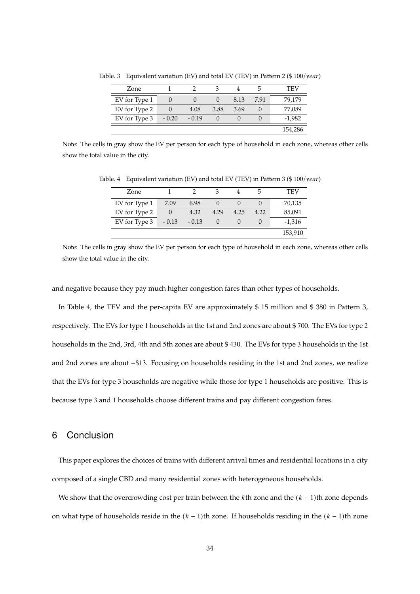| Zone          |         |         |      |      | ാ    | TEV      |
|---------------|---------|---------|------|------|------|----------|
| EV for Type 1 |         |         |      | 8.13 | 7.91 | 79,179   |
| EV for Type 2 |         | 4.08    | 3.88 | 3.69 |      | 77,089   |
| EV for Type 3 | $-0.20$ | $-0.19$ |      |      |      | $-1,982$ |
|               |         |         |      |      |      | 154,286  |

Table. 3 Equivalent variation (EV) and total EV (TEV) in Pattern 2 (\$100/year)

Note: The cells in gray show the EV per person for each type of household in each zone, whereas other cells show the total value in the city.

| Zone          |         |         |        |      | h    | TEV      |
|---------------|---------|---------|--------|------|------|----------|
| EV for Type 1 | 7.09    | 6.98    |        |      |      | 70,135   |
| EV for Type 2 |         | 4.32    | 4.29   | 4.25 | 4.22 | 85,091   |
| EV for Type 3 | $-0.13$ | $-0.13$ | $\cup$ |      |      | $-1,316$ |
|               |         |         |        |      |      | 153,910  |

Table. 4 Equivalent variation (EV) and total EV (TEV) in Pattern 3 (\$100/year)

Note: The cells in gray show the EV per person for each type of household in each zone, whereas other cells show the total value in the city.

and negative because they pay much higher congestion fares than other types of households.

In Table 4, the TEV and the per-capita EV are approximately \$ 15 million and \$ 380 in Pattern 3, respectively. The EVs for type 1 households in the 1st and 2nd zones are about \$ 700. The EVs for type 2 households in the 2nd, 3rd, 4th and 5th zones are about \$ 430. The EVs for type 3 households in the 1st and 2nd zones are about −\$13. Focusing on households residing in the 1st and 2nd zones, we realize that the EVs for type 3 households are negative while those for type 1 households are positive. This is because type 3 and 1 households choose different trains and pay different congestion fares.

## 6 Conclusion

This paper explores the choices of trains with different arrival times and residential locations in a city composed of a single CBD and many residential zones with heterogeneous households.

We show that the overcrowding cost per train between the  $k$ th zone and the  $(k - 1)$ th zone depends on what type of households reside in the  $(k - 1)$ th zone. If households residing in the  $(k - 1)$ th zone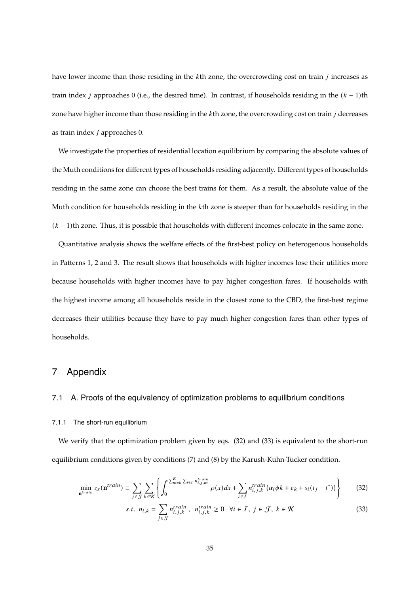have lower income than those residing in the  $k$ th zone, the overcrowding cost on train  $j$  increases as train index *j* approaches 0 (i.e., the desired time). In contrast, if households residing in the  $(k - 1)$ th zone have higher income than those residing in the  $k$ th zone, the overcrowding cost on train  $j$  decreases as train index  $j$  approaches 0.

We investigate the properties of residential location equilibrium by comparing the absolute values of the Muth conditions for different types of households residing adjacently. Different types of households residing in the same zone can choose the best trains for them. As a result, the absolute value of the Muth condition for households residing in the  $k$ th zone is steeper than for households residing in the  $(k - 1)$ th zone. Thus, it is possible that households with different incomes colocate in the same zone.

Quantitative analysis shows the welfare effects of the first-best policy on heterogenous households in Patterns 1, 2 and 3. The result shows that households with higher incomes lose their utilities more because households with higher incomes have to pay higher congestion fares. If households with the highest income among all households reside in the closest zone to the CBD, the first-best regime decreases their utilities because they have to pay much higher congestion fares than other types of households.

### 7 Appendix

### 7.1 A. Proofs of the equivalency of optimization problems to equilibrium conditions

#### 7.1.1 The short-run equilibrium

We verify that the optimization problem given by eqs. (32) and (33) is equivalent to the short-run equilibrium conditions given by conditions (7) and (8) by the Karush-Kuhn-Tucker condition.

$$
\min_{\mathbf{n}^{train}} z_s(\mathbf{n}^{train}) \equiv \sum_{j \in \mathcal{J}} \sum_{k \in \mathcal{K}} \left\{ \int_0^{\sum_{m=k}^K \sum_{i \in \mathcal{I}} n_{i,j,m}^{train}} \rho(x) dx + \sum_{i \in \mathcal{I}} n_{i,j,k}^{train} \{ \alpha_i \phi k + e_k + s_i(t_j - t^*) \} \right\}
$$
(32)

s.t. 
$$
n_{i,k} = \sum_{j \in \mathcal{J}} n_{i,j,k}^{train}, n_{i,j,k}^{train} \ge 0 \quad \forall i \in \mathcal{I}, j \in \mathcal{J}, k \in \mathcal{K}
$$
 (33)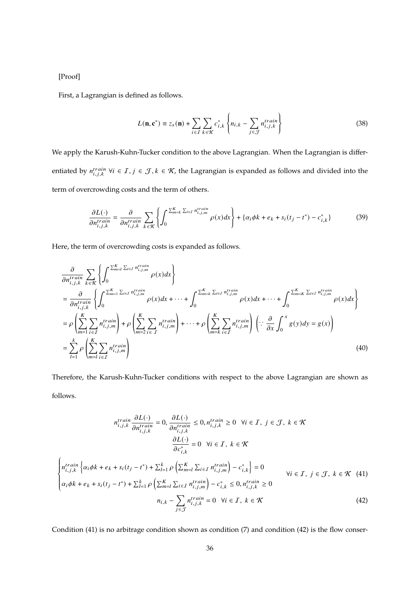[Proof]

First, a Lagrangian is defined as follows.

$$
L(\mathbf{n}, \mathbf{c}^*) \equiv z_s(\mathbf{n}) + \sum_{i \in \mathcal{I}} \sum_{k \in \mathcal{K}} c_{i,k}^* \left\{ n_{i,k} - \sum_{j \in \mathcal{J}} n_{i,j,k}^{train} \right\} \tag{38}
$$

We apply the Karush-Kuhn-Tucker condition to the above Lagrangian. When the Lagrangian is differentiated by  $n_{i,j,k}^{train}$   $\forall i \in I, j \in J, k \in K$ , the Lagrangian is expanded as follows and divided into the term of overcrowding costs and the term of others.

$$
\frac{\partial L(\cdot)}{\partial n_{i,j,k}^{train}} = \frac{\partial}{\partial n_{i,j,k}^{train}} \sum_{k \in \mathcal{K}} \left\{ \int_0^{\sum_{m=k}^K \sum_{i \in I} n_{i,j,m}^{train}} \rho(x) dx \right\} + \left\{ \alpha_i \phi k + e_k + s_i (t_j - t^*) - c_{i,k}^* \right\} \tag{39}
$$

Here, the term of overcrowding costs is expanded as follows.

$$
\frac{\partial}{\partial n_{i,j,k}^{train}} \sum_{k \in \mathcal{K}} \left\{ \int_0^{\sum_{m=1}^K \sum_{i \in I} n_{i,j,m}^{train}} \rho(x) dx \right\} \n= \frac{\partial}{\partial n_{i,j,k}^{train}} \left\{ \int_0^{\sum_{m=1}^K \sum_{i \in I} n_{i,j,m}^{train}} \rho(x) dx + \dots + \int_0^{\sum_{m=k}^K \sum_{i \in I} n_{i,j,m}^{train}} \rho(x) dx + \dots + \int_0^{\sum_{m=K}^K \sum_{i \in I} n_{i,j,m}^{train}} \rho(x) dx \right\} \n= \rho \left( \sum_{m=1}^K \sum_{i \in I} n_{i,j,m}^{train} \right) + \rho \left( \sum_{m=2}^K \sum_{i \in I} n_{i,j,m}^{train} \right) + \dots + \rho \left( \sum_{m=k}^K \sum_{i \in I} n_{i,j,m}^{train} \right) \left( \because \frac{\partial}{\partial x} \int_0^x g(y) dy = g(x) \right) \n= \sum_{l=1}^k \rho \left( \sum_{m=1}^K \sum_{i \in I} n_{i,j,m}^{train} \right)
$$
\n(40)

Therefore, the Karush-Kuhn-Tucker conditions with respect to the above Lagrangian are shown as follows.

$$
n_{i,j,k}^{train} \frac{\partial L(\cdot)}{\partial n_{i,j,k}^{train}} = 0, \frac{\partial L(\cdot)}{\partial n_{i,j,k}^{train}} \le 0, n_{i,j,k}^{train} \ge 0 \quad \forall i \in \mathcal{I}, j \in \mathcal{J}, k \in \mathcal{K}
$$

$$
\frac{\partial L(\cdot)}{\partial c_{i,k}^{*}} = 0 \quad \forall i \in \mathcal{I}, k \in \mathcal{K}
$$

$$
\begin{cases} n_{i,j,k}^{train} \left\{ \alpha_i \phi k + e_k + s_i (t_j - t^*) + \sum_{l=1}^{k} \rho \left( \sum_{m=l}^{K} \sum_{i \in \mathcal{I}} n_{i,j,m}^{train} \right) - c_{i,k}^{*} \right\} = 0\\ \alpha_i \phi k + e_k + s_i (t_j - t^*) + \sum_{l=1}^{k} \rho \left( \sum_{m=l}^{K} \sum_{i \in \mathcal{I}} n_{i,j,m}^{train} \right) - c_{i,k}^{*} \le 0, n_{i,j,k}^{train} \ge 0\\ n_{i,k} - \sum_{j \in \mathcal{J}} n_{i,j,k}^{train} = 0 \quad \forall i \in \mathcal{I}, k \in \mathcal{K} \end{cases} \tag{42}
$$

Condition (41) is no arbitrage condition shown as condition (7) and condition (42) is the flow conser-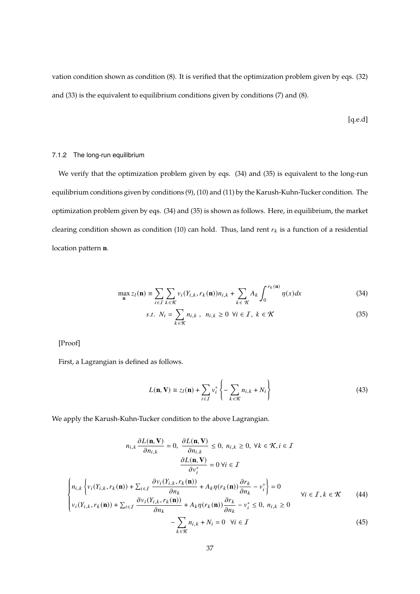vation condition shown as condition (8). It is verified that the optimization problem given by eqs. (32) and (33) is the equivalent to equilibrium conditions given by conditions (7) and (8).

[q.e.d]

### 7.1.2 The long-run equilibrium

We verify that the optimization problem given by eqs. (34) and (35) is equivalent to the long-run equilibrium conditions given by conditions (9), (10) and (11) by the Karush-Kuhn-Tucker condition. The optimization problem given by eqs. (34) and (35) is shown as follows. Here, in equilibrium, the market clearing condition shown as condition (10) can hold. Thus, land rent  $r_k$  is a function of a residential location pattern **n**.

$$
\max_{\mathbf{n}} z_l(\mathbf{n}) \equiv \sum_{i \in I} \sum_{k \in \mathcal{K}} v_i(Y_{i,k}, r_k(\mathbf{n})) n_{i,k} + \sum_{k \in \mathcal{K}} A_k \int_0^{r_k(\mathbf{n})} \eta(x) dx \tag{34}
$$

$$
s.t. N_i = \sum_{k \in \mathcal{K}} n_{i,k}, n_{i,k} \ge 0 \ \forall i \in \mathcal{I}, k \in \mathcal{K}
$$
\n
$$
(35)
$$

[Proof]

First, a Lagrangian is defined as follows.

$$
L(\mathbf{n}, \mathbf{V}) \equiv z_l(\mathbf{n}) + \sum_{i \in \mathcal{I}} v_i^* \left\{ - \sum_{k \in \mathcal{K}} n_{i,k} + N_i \right\}
$$
(43)

We apply the Karush-Kuhn-Tucker condition to the above Lagrangian.

$$
n_{i,k} \frac{\partial L(\mathbf{n}, \mathbf{V})}{\partial n_{i,k}} = 0, \ \frac{\partial L(\mathbf{n}, \mathbf{V})}{\partial n_{i,k}} \le 0, \ n_{i,k} \ge 0, \ \forall k \in \mathcal{K}, i \in \mathcal{I}
$$

$$
\frac{\partial L(\mathbf{n}, \mathbf{V})}{\partial v_i^*} = 0 \ \forall i \in \mathcal{I}
$$

$$
\left\{ n_{i,k} \left\{ v_i(Y_{i,k}, r_k(\mathbf{n})) + \sum_{i \in \mathcal{I}} \frac{\partial v_i(Y_{i,k}, r_k(\mathbf{n}))}{\partial n_k} + A_k \eta(r_k(\mathbf{n})) \frac{\partial r_k}{\partial n_k} - v_i^* \right\} = 0 \right\}
$$

$$
\forall i \in \mathcal{I}, k \in \mathcal{K}
$$
(44)
$$
v_i(Y_{i,k}, r_k(\mathbf{n})) + \sum_{i \in \mathcal{I}} \frac{\partial v_i(Y_{i,k}, r_k(\mathbf{n}))}{\partial n_k} + A_k \eta(r_k(\mathbf{n})) \frac{\partial r_k}{\partial n_k} - v_i^* \le 0, \ n_{i,k} \ge 0
$$

$$
- \sum_{k \in \mathcal{K}} n_{i,k} + N_i = 0 \ \forall i \in \mathcal{I}
$$
(45)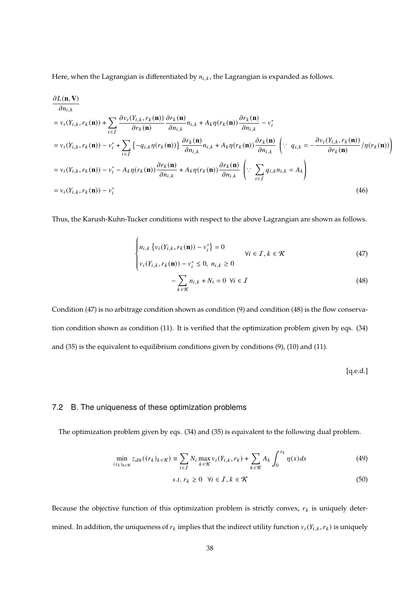Here, when the Lagrangian is differentiated by  $n_{i,k}$ , the Lagrangian is expanded as follows.

$$
\frac{\partial L(\mathbf{n}, \mathbf{V})}{\partial n_{i,k}} = v_i(Y_{i,k}, r_k(\mathbf{n})) + \sum_{i \in I} \frac{\partial v_i(Y_{i,k}, r_k(\mathbf{n}))}{\partial r_k(\mathbf{n})} \frac{\partial r_k(\mathbf{n})}{\partial n_{i,k}} n_{i,k} + A_k \eta(r_k(\mathbf{n})) \frac{\partial r_k(\mathbf{n})}{\partial n_{i,k}} - v_i^*
$$
\n
$$
= v_i(Y_{i,k}, r_k(\mathbf{n})) - v_i^* + \sum_{i \in I} \{-q_{i,k} \eta(r_k(\mathbf{n}))\} \frac{\partial r_k(\mathbf{n})}{\partial n_{i,k}} n_{i,k} + A_k \eta(r_k(\mathbf{n})) \frac{\partial r_k(\mathbf{n})}{\partial n_{i,k}} \quad \left(\because q_{i,k} = -\frac{\partial v_i(Y_{i,k}, r_k(\mathbf{n}))}{\partial r_k(\mathbf{n})}\right) \eta(r_k(\mathbf{n})) \right)
$$
\n
$$
= v_i(Y_{i,k}, r_k(\mathbf{n})) - v_i^* - A_k \eta(r_k(\mathbf{n})) \frac{\partial r_k(\mathbf{n})}{\partial n_{i,k}} + A_k \eta(r_k(\mathbf{n})) \frac{\partial r_k(\mathbf{n})}{\partial n_{i,k}} \quad \left(\because \sum_{i \in I} q_{i,k} n_{i,k} = A_k\right)
$$
\n
$$
= v_i(Y_{i,k}, r_k(\mathbf{n})) - v_i^*
$$
\n(46)

Thus, the Karush-Kuhn-Tucker conditions with respect to the above Lagrangian are shown as follows.

$$
\begin{cases} n_{i,k} \left\{ v_i(Y_{i,k}, r_k(\mathbf{n})) - v_i^* \right\} = 0 \\ v_i(Y_{i,k}, r_k(\mathbf{n})) - v_i^* \le 0, \ n_{i,k} \ge 0 \end{cases} \quad \forall i \in \mathcal{I}, k \in \mathcal{K}
$$
 (47)

$$
-\sum_{k \in \mathcal{K}} n_{i,k} + N_i = 0 \ \forall i \in \mathcal{I}
$$
 (48)

Condition (47) is no arbitrage condition shown as condition (9) and condition (48) is the flow conservation condition shown as condition (11). It is verified that the optimization problem given by eqs. (34) and (35) is the equivalent to equilibrium conditions given by conditions (9), (10) and (11).

[q.e.d.]

### 7.2 B. The uniqueness of these optimization problems

The optimization problem given by eqs. (34) and (35) is equivalent to the following dual problem.

$$
\min_{(r_k)_{k \in \mathcal{K}}} z_{dh}((r_k)_{k \in \mathcal{K}}) \equiv \sum_{i \in I} N_i \max_{k \in \mathcal{K}} v_i(Y_{i,k}, r_k) + \sum_{k \in \mathcal{K}} A_k \int_0^{r_k} \eta(x) dx \tag{49}
$$

$$
s.t. r_k \ge 0 \quad \forall i \in \mathcal{I}, k \in \mathcal{K} \tag{50}
$$

Because the objective function of this optimization problem is strictly convex,  $r_k$  is uniquely determined. In addition, the uniqueness of  $r_k$  implies that the indirect utility function  $v_i(Y_{i,k}, r_k)$  is uniquely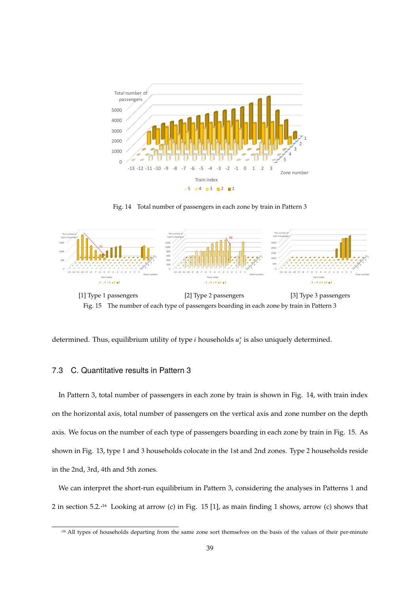

Fig. 14 Total number of passengers in each zone by train in Pattern 3



Fig. 15 The number of each type of passengers boarding in each zone by train in Pattern 3



### 7.3 C. Quantitative results in Pattern 3

In Pattern 3, total number of passengers in each zone by train is shown in Fig. 14, with train index on the horizontal axis, total number of passengers on the vertical axis and zone number on the depth axis. We focus on the number of each type of passengers boarding in each zone by train in Fig. 15. As shown in Fig. 13, type 1 and 3 households colocate in the 1st and 2nd zones. Type 2 households reside in the 2nd, 3rd, 4th and 5th zones.

We can interpret the short-run equilibrium in Pattern 3, considering the analyses in Patterns 1 and 2 in section 5.2.<sup>16</sup> Looking at arrow (c) in Fig. 15 [1], as main finding 1 shows, arrow (c) shows that

<sup>\*</sup> 16 All types of households departing from the same zone sort themselves on the basis of the values of their per-minute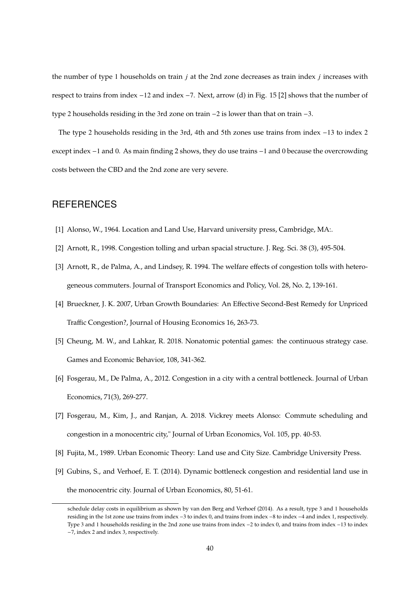the number of type 1 households on train  $j$  at the 2nd zone decreases as train index  $j$  increases with respect to trains from index −12 and index −7. Next, arrow (d) in Fig. 15 [2] shows that the number of type 2 households residing in the 3rd zone on train −2 is lower than that on train −3.

The type 2 households residing in the 3rd, 4th and 5th zones use trains from index −13 to index 2 except index −1 and 0. As main finding 2 shows, they do use trains −1 and 0 because the overcrowding costs between the CBD and the 2nd zone are very severe.

## **REFERENCES**

- [1] Alonso, W., 1964. Location and Land Use, Harvard university press, Cambridge, MA:.
- [2] Arnott, R., 1998. Congestion tolling and urban spacial structure. J. Reg. Sci. 38 (3), 495-504.
- [3] Arnott, R., de Palma, A., and Lindsey, R. 1994. The welfare effects of congestion tolls with heterogeneous commuters. Journal of Transport Economics and Policy, Vol. 28, No. 2, 139-161.
- [4] Brueckner, J. K. 2007, Urban Growth Boundaries: An Effective Second-Best Remedy for Unpriced Traffic Congestion?, Journal of Housing Economics 16, 263-73.
- [5] Cheung, M. W., and Lahkar, R. 2018. Nonatomic potential games: the continuous strategy case. Games and Economic Behavior, 108, 341-362.
- [6] Fosgerau, M., De Palma, A., 2012. Congestion in a city with a central bottleneck. Journal of Urban Economics, 71(3), 269-277.
- [7] Fosgerau, M., Kim, J., and Ranjan, A. 2018. Vickrey meets Alonso: Commute scheduling and congestion in a monocentric city," Journal of Urban Economics, Vol. 105, pp. 40-53.
- [8] Fujita, M., 1989. Urban Economic Theory: Land use and City Size. Cambridge University Press.
- [9] Gubins, S., and Verhoef, E. T. (2014). Dynamic bottleneck congestion and residential land use in the monocentric city. Journal of Urban Economics, 80, 51-61.

schedule delay costs in equilibrium as shown by van den Berg and Verhoef (2014). As a result, type 3 and 1 households residing in the 1st zone use trains from index −3 to index 0, and trains from index −8 to index −4 and index 1, respectively. Type 3 and 1 households residing in the 2nd zone use trains from index −2 to index 0, and trains from index −13 to index −7, index 2 and index 3, respectively.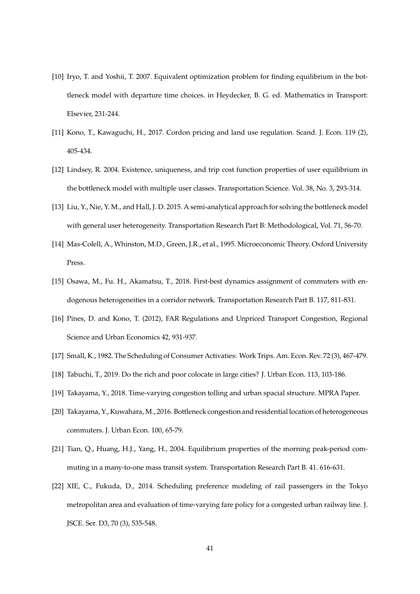- [10] Iryo, T. and Yoshii, T. 2007. Equivalent optimization problem for finding equilibrium in the bottleneck model with departure time choices. in Heydecker, B. G. ed. Mathematics in Transport: Elsevier, 231-244.
- [11] Kono, T., Kawaguchi, H., 2017. Cordon pricing and land use regulation. Scand. J. Econ. 119 (2), 405-434.
- [12] Lindsey, R. 2004. Existence, uniqueness, and trip cost function properties of user equilibrium in the bottleneck model with multiple user classes. Transportation Science. Vol. 38, No. 3, 293-314.
- [13] Liu, Y., Nie, Y. M., and Hall, J. D. 2015. A semi-analytical approach for solving the bottleneck model with general user heterogeneity. Transportation Research Part B: Methodological, Vol. 71, 56-70.
- [14] Mas-Colell, A., Whinston, M.D., Green, J.R., et al., 1995. Microeconomic Theory. Oxford University Press.
- [15] Osawa, M., Fu. H., Akamatsu, T., 2018. First-best dynamics assignment of commuters with endogenous heterogeneities in a corridor network. Transportation Research Part B. 117, 811-831.
- [16] Pines, D. and Kono, T. (2012), FAR Regulations and Unpriced Transport Congestion, Regional Science and Urban Economics 42, 931-937.
- [17] Small, K., 1982. The Scheduling of Consumer Activaties: Work Trips. Am. Econ. Rev. 72 (3), 467-479.
- [18] Tabuchi, T., 2019. Do the rich and poor colocate in large cities? J. Urban Econ. 113, 103-186.
- [19] Takayama, Y., 2018. Time-varying congestion tolling and urban spacial structure. MPRA Paper.
- [20] Takayama, Y., Kuwahara, M., 2016. Bottleneck congestion and residential location of heterogeneous commuters. J. Urban Econ. 100, 65-79.
- [21] Tian, Q., Huang, H.J., Yang, H., 2004. Equilibrium properties of the morning peak-period commuting in a many-to-one mass transit system. Transportation Research Part B. 41. 616-631.
- [22] XIE, C., Fukuda, D., 2014. Scheduling preference modeling of rail passengers in the Tokyo metropolitan area and evaluation of time-varying fare policy for a congested urban railway line. J. JSCE. Ser. D3, 70 (3), 535-548.